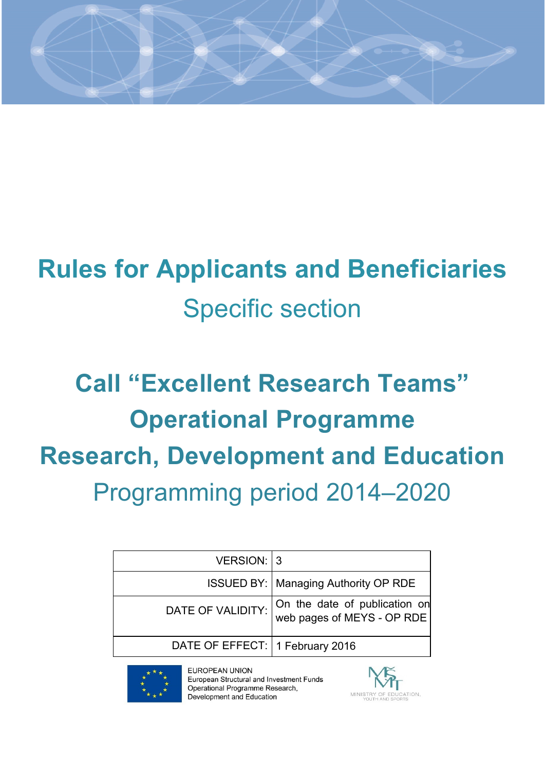

# **Rules for Applicants and Beneficiaries** Specific section

# **Call "Excellent Research Teams" Operational Programme Research, Development and Education** Programming period 2014–2020

| VERSION: 3                      |                                                             |
|---------------------------------|-------------------------------------------------------------|
|                                 | <b>ISSUED BY:   Managing Authority OP RDE</b>               |
| DATE OF VALIDITY:               | On the date of publication on<br>web pages of MEYS - OP RDE |
| DATE OF EFFECT: 1 February 2016 |                                                             |
|                                 |                                                             |



EUROPEAN UNION European Structural and Investment Funds Operational Programme Research, Development and Education

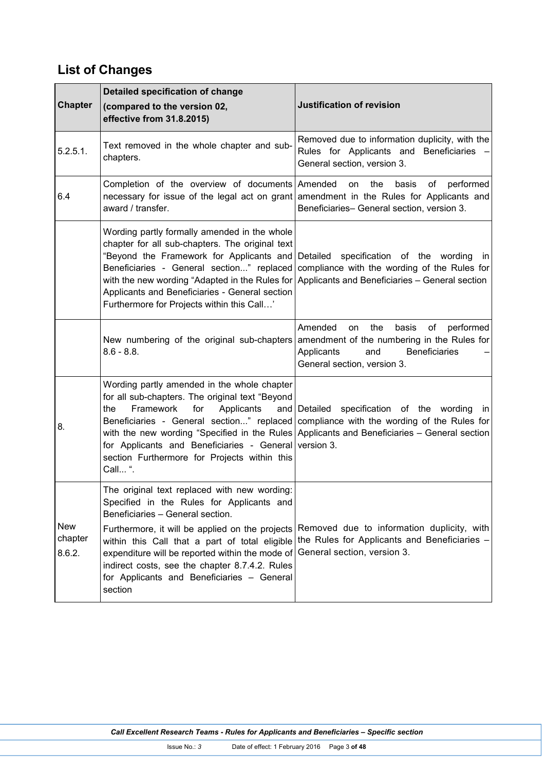# **List of Changes**

| <b>Chapter</b>                  | Detailed specification of change<br>(compared to the version 02,<br>effective from 31.8.2015)                                                                                                                                                                                                                                                                                                    | <b>Justification of revision</b>                                                                                                                                                                                                                                               |
|---------------------------------|--------------------------------------------------------------------------------------------------------------------------------------------------------------------------------------------------------------------------------------------------------------------------------------------------------------------------------------------------------------------------------------------------|--------------------------------------------------------------------------------------------------------------------------------------------------------------------------------------------------------------------------------------------------------------------------------|
| 5.2.5.1.                        | Text removed in the whole chapter and sub-<br>chapters.                                                                                                                                                                                                                                                                                                                                          | Removed due to information duplicity, with the<br>Rules for Applicants and Beneficiaries<br>General section, version 3.                                                                                                                                                        |
| 6.4                             | Completion of the overview of documents Amended<br>award / transfer.                                                                                                                                                                                                                                                                                                                             | the<br>performed<br>basis<br>οf<br>on<br>necessary for issue of the legal act on grant amendment in the Rules for Applicants and<br>Beneficiaries- General section, version 3.                                                                                                 |
|                                 | Wording partly formally amended in the whole<br>chapter for all sub-chapters. The original text<br>Applicants and Beneficiaries - General section<br>Furthermore for Projects within this Call'                                                                                                                                                                                                  | "Beyond the Framework for Applicants and Detailed specification of the wording in<br>Beneficiaries - General section" replaced compliance with the wording of the Rules for<br>with the new wording "Adapted in the Rules for Applicants and Beneficiaries $-$ General section |
|                                 | New numbering of the original sub-chapters<br>$8.6 - 8.8.$                                                                                                                                                                                                                                                                                                                                       | the<br>Amended<br>basis<br>of<br>performed<br>on<br>amendment of the numbering in the Rules for<br>Applicants<br>Beneficiaries<br>and<br>General section, version 3.                                                                                                           |
| 8.                              | Wording partly amended in the whole chapter<br>for all sub-chapters. The original text "Beyond<br>Framework<br>for<br>Applicants<br>the<br>for Applicants and Beneficiaries - General version 3.<br>section Furthermore for Projects within this<br>Call ".                                                                                                                                      | and Detailed specification of the wording in<br>Beneficiaries - General section" replaced compliance with the wording of the Rules for<br>with the new wording "Specified in the Rules Applicants and Beneficiaries - General section                                          |
| <b>New</b><br>chapter<br>8.6.2. | The original text replaced with new wording:<br>Specified in the Rules for Applicants and<br>Beneficiaries - General section.<br>Furthermore, it will be applied on the projects<br>within this Call that a part of total eligible<br>expenditure will be reported within the mode of<br>indirect costs, see the chapter 8.7.4.2. Rules<br>for Applicants and Beneficiaries - General<br>section | Removed due to information duplicity, with<br>the Rules for Applicants and Beneficiaries -<br>General section, version 3.                                                                                                                                                      |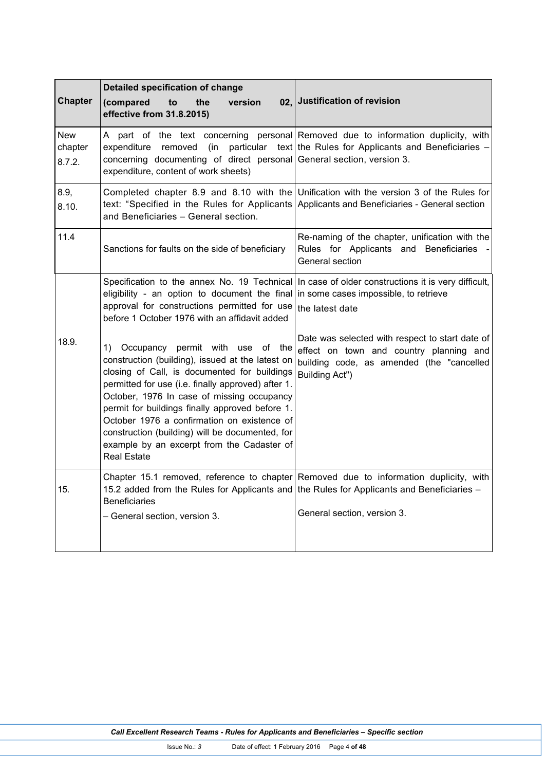| <b>Chapter</b>                  | Detailed specification of change<br>(compared<br>to<br>the<br>version<br>effective from 31.8.2015)                                                                                                                                                                                                                                                                                                                                                                       | 02, Justification of revision                                                                                                                                                          |
|---------------------------------|--------------------------------------------------------------------------------------------------------------------------------------------------------------------------------------------------------------------------------------------------------------------------------------------------------------------------------------------------------------------------------------------------------------------------------------------------------------------------|----------------------------------------------------------------------------------------------------------------------------------------------------------------------------------------|
| <b>New</b><br>chapter<br>8.7.2. | (in<br>expenditure<br>removed<br>concerning documenting of direct personal General section, version 3.<br>expenditure, content of work sheets)                                                                                                                                                                                                                                                                                                                           | A part of the text concerning personal Removed due to information duplicity, with<br>particular text the Rules for Applicants and Beneficiaries -                                      |
| 8.9,<br>8.10.                   | and Beneficiaries - General section.                                                                                                                                                                                                                                                                                                                                                                                                                                     | Completed chapter 8.9 and 8.10 with the Unification with the version 3 of the Rules for<br>text: "Specified in the Rules for Applicants Applicants and Beneficiaries - General section |
| 11.4                            | Sanctions for faults on the side of beneficiary                                                                                                                                                                                                                                                                                                                                                                                                                          | Re-naming of the chapter, unification with the<br>Rules for Applicants and Beneficiaries<br>General section                                                                            |
|                                 | Specification to the annex No. 19 Technical<br>eligibility - an option to document the final<br>approval for constructions permitted for use<br>before 1 October 1976 with an affidavit added                                                                                                                                                                                                                                                                            | In case of older constructions it is very difficult,<br>in some cases impossible, to retrieve<br>the latest date                                                                       |
| 18.9.                           | Occupancy permit with use of the<br>1).<br>construction (building), issued at the latest on<br>closing of Call, is documented for buildings<br>permitted for use (i.e. finally approved) after 1.<br>October, 1976 In case of missing occupancy<br>permit for buildings finally approved before 1.<br>October 1976 a confirmation on existence of<br>construction (building) will be documented, for<br>example by an excerpt from the Cadaster of<br><b>Real Estate</b> | Date was selected with respect to start date of<br>effect on town and country planning and<br>building code, as amended (the "cancelled<br>Building Act")                              |
| 15.                             | 15.2 added from the Rules for Applicants and the Rules for Applicants and Beneficiaries -<br><b>Beneficiaries</b><br>- General section, version 3.                                                                                                                                                                                                                                                                                                                       | Chapter 15.1 removed, reference to chapter Removed due to information duplicity, with<br>General section, version 3.                                                                   |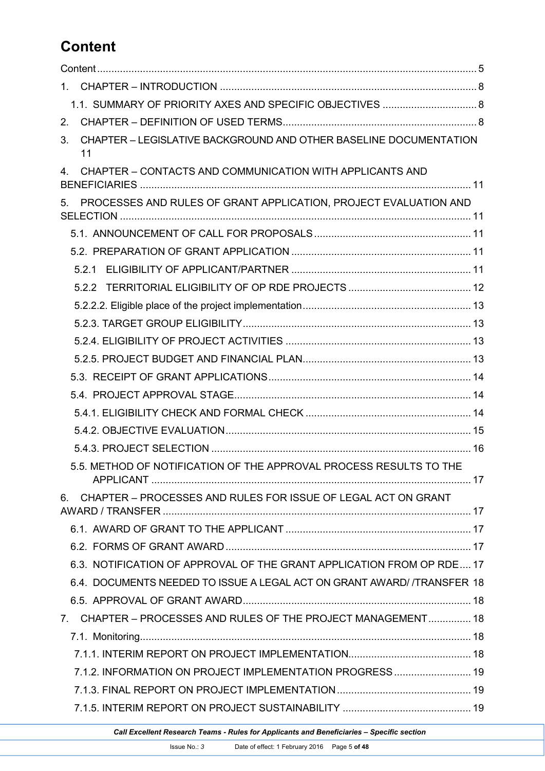# **Content**

| 1.                                                                                 |  |
|------------------------------------------------------------------------------------|--|
|                                                                                    |  |
| 2 <sub>1</sub>                                                                     |  |
| CHAPTER - LEGISLATIVE BACKGROUND AND OTHER BASELINE DOCUMENTATION<br>3.<br>11      |  |
| CHAPTER - CONTACTS AND COMMUNICATION WITH APPLICANTS AND<br>4                      |  |
| PROCESSES AND RULES OF GRANT APPLICATION, PROJECT EVALUATION AND<br>5 <sub>1</sub> |  |
|                                                                                    |  |
|                                                                                    |  |
|                                                                                    |  |
|                                                                                    |  |
|                                                                                    |  |
|                                                                                    |  |
|                                                                                    |  |
|                                                                                    |  |
|                                                                                    |  |
|                                                                                    |  |
|                                                                                    |  |
|                                                                                    |  |
|                                                                                    |  |
| 5.5. METHOD OF NOTIFICATION OF THE APPROVAL PROCESS RESULTS TO THE                 |  |
| CHAPTER - PROCESSES AND RULES FOR ISSUE OF LEGAL ACT ON GRANT<br>6.                |  |
|                                                                                    |  |
|                                                                                    |  |
| 6.3. NOTIFICATION OF APPROVAL OF THE GRANT APPLICATION FROM OP RDE 17              |  |
| 6.4. DOCUMENTS NEEDED TO ISSUE A LEGAL ACT ON GRANT AWARD/ /TRANSFER 18            |  |
|                                                                                    |  |
| 7. CHAPTER - PROCESSES AND RULES OF THE PROJECT MANAGEMENT 18                      |  |
|                                                                                    |  |
|                                                                                    |  |
| 7.1.2. INFORMATION ON PROJECT IMPLEMENTATION PROGRESS 19                           |  |
|                                                                                    |  |
|                                                                                    |  |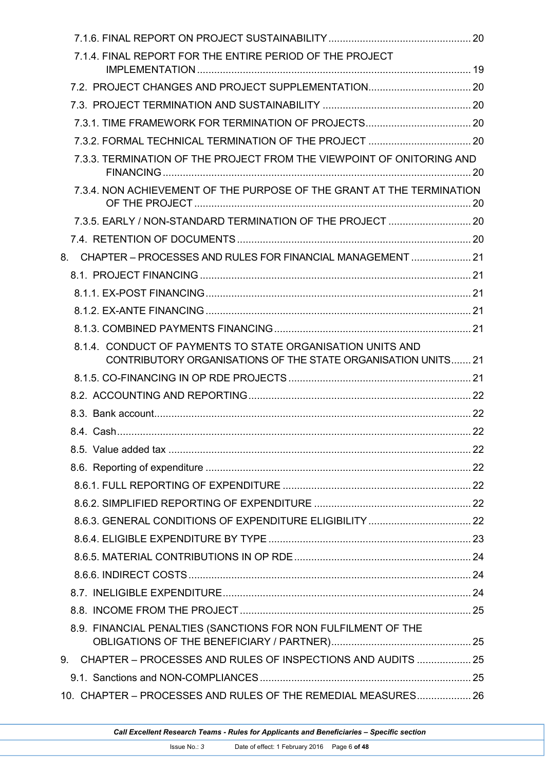| 7.1.4. FINAL REPORT FOR THE ENTIRE PERIOD OF THE PROJECT                                                                   |  |
|----------------------------------------------------------------------------------------------------------------------------|--|
|                                                                                                                            |  |
|                                                                                                                            |  |
|                                                                                                                            |  |
|                                                                                                                            |  |
| 7.3.3. TERMINATION OF THE PROJECT FROM THE VIEWPOINT OF ONITORING AND                                                      |  |
| 7.3.4. NON ACHIEVEMENT OF THE PURPOSE OF THE GRANT AT THE TERMINATION                                                      |  |
|                                                                                                                            |  |
|                                                                                                                            |  |
| CHAPTER - PROCESSES AND RULES FOR FINANCIAL MANAGEMENT  21<br>8.                                                           |  |
|                                                                                                                            |  |
|                                                                                                                            |  |
|                                                                                                                            |  |
|                                                                                                                            |  |
| 8.1.4. CONDUCT OF PAYMENTS TO STATE ORGANISATION UNITS AND<br>CONTRIBUTORY ORGANISATIONS OF THE STATE ORGANISATION UNITS21 |  |
|                                                                                                                            |  |
|                                                                                                                            |  |
|                                                                                                                            |  |
|                                                                                                                            |  |
|                                                                                                                            |  |
|                                                                                                                            |  |
|                                                                                                                            |  |
|                                                                                                                            |  |
|                                                                                                                            |  |
|                                                                                                                            |  |
|                                                                                                                            |  |
|                                                                                                                            |  |
|                                                                                                                            |  |
|                                                                                                                            |  |
|                                                                                                                            |  |
| 8.9. FINANCIAL PENALTIES (SANCTIONS FOR NON FULFILMENT OF THE                                                              |  |
| 9. CHAPTER - PROCESSES AND RULES OF INSPECTIONS AND AUDITS  25                                                             |  |
|                                                                                                                            |  |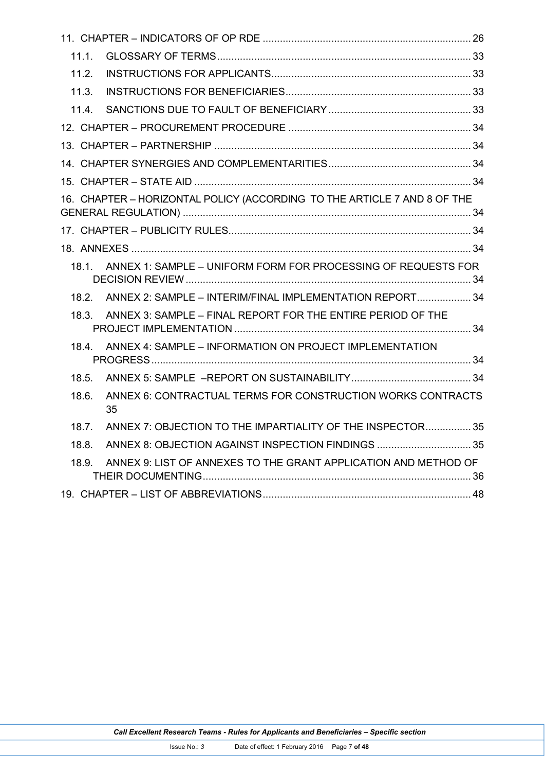| 11.1.                                                                      |  |
|----------------------------------------------------------------------------|--|
| 11.2.                                                                      |  |
| 11.3.                                                                      |  |
| 11.4.                                                                      |  |
|                                                                            |  |
|                                                                            |  |
|                                                                            |  |
|                                                                            |  |
| 16. CHAPTER - HORIZONTAL POLICY (ACCORDING TO THE ARTICLE 7 AND 8 OF THE   |  |
|                                                                            |  |
|                                                                            |  |
| ANNEX 1: SAMPLE - UNIFORM FORM FOR PROCESSING OF REQUESTS FOR<br>$18.1$ .  |  |
| ANNEX 2: SAMPLE - INTERIM/FINAL IMPLEMENTATION REPORT 34<br>18.2.          |  |
| ANNEX 3: SAMPLE - FINAL REPORT FOR THE ENTIRE PERIOD OF THE<br>18.3.       |  |
| ANNEX 4: SAMPLE - INFORMATION ON PROJECT IMPLEMENTATION<br>18.4.           |  |
| 18.5.                                                                      |  |
| ANNEX 6: CONTRACTUAL TERMS FOR CONSTRUCTION WORKS CONTRACTS<br>18.6.<br>35 |  |
| ANNEX 7: OBJECTION TO THE IMPARTIALITY OF THE INSPECTOR35<br>18.7.         |  |
| ANNEX 8: OBJECTION AGAINST INSPECTION FINDINGS  35<br>18.8.                |  |
| ANNEX 9: LIST OF ANNEXES TO THE GRANT APPLICATION AND METHOD OF<br>18.9.   |  |
|                                                                            |  |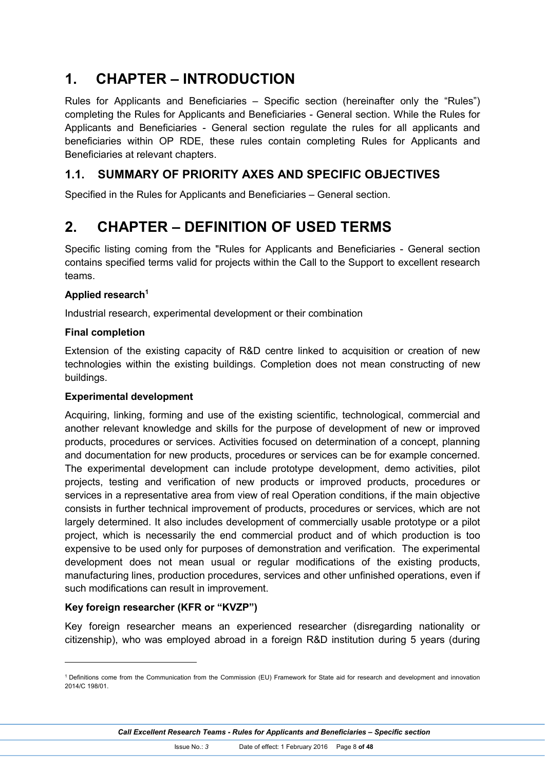# **1. CHAPTER – INTRODUCTION**

Rules for Applicants and Beneficiaries – Specific section (hereinafter only the "Rules") completing the Rules for Applicants and Beneficiaries - General section. While the Rules for Applicants and Beneficiaries - General section regulate the rules for all applicants and beneficiaries within OP RDE, these rules contain completing Rules for Applicants and Beneficiaries at relevant chapters.

## **1.1. SUMMARY OF PRIORITY AXES AND SPECIFIC OBJECTIVES**

Specified in the Rules for Applicants and Beneficiaries – General section.

## **2. CHAPTER – DEFINITION OF USED TERMS**

Specific listing coming from the "Rules for Applicants and Beneficiaries - General section contains specified terms valid for projects within the Call to the Support to excellent research teams.

#### **Applied research<sup>1</sup>**

Industrial research, experimental development or their combination

#### **Final completion**

-

Extension of the existing capacity of R&D centre linked to acquisition or creation of new technologies within the existing buildings. Completion does not mean constructing of new buildings.

#### **Experimental development**

Acquiring, linking, forming and use of the existing scientific, technological, commercial and another relevant knowledge and skills for the purpose of development of new or improved products, procedures or services. Activities focused on determination of a concept, planning and documentation for new products, procedures or services can be for example concerned. The experimental development can include prototype development, demo activities, pilot projects, testing and verification of new products or improved products, procedures or services in a representative area from view of real Operation conditions, if the main objective consists in further technical improvement of products, procedures or services, which are not largely determined. It also includes development of commercially usable prototype or a pilot project, which is necessarily the end commercial product and of which production is too expensive to be used only for purposes of demonstration and verification. The experimental development does not mean usual or regular modifications of the existing products, manufacturing lines, production procedures, services and other unfinished operations, even if such modifications can result in improvement.

#### **Key foreign researcher (KFR or "KVZP")**

Key foreign researcher means an experienced researcher (disregarding nationality or citizenship), who was employed abroad in a foreign R&D institution during 5 years (during

<sup>1</sup> Definitions come from the Communication from the Commission (EU) Framework for State aid for research and development and innovation 2014/C 198/01.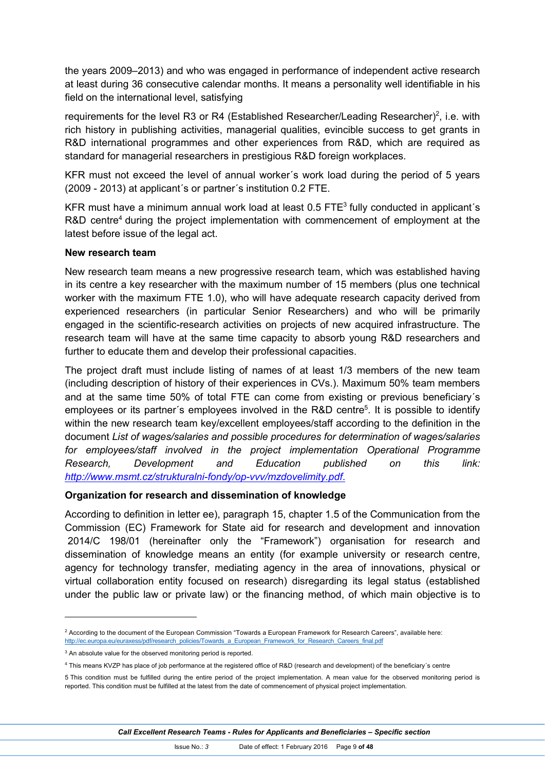the years 2009–2013) and who was engaged in performance of independent active research at least during 36 consecutive calendar months. It means a personality well identifiable in his field on the international level, satisfying

requirements for the level R3 or R4 (Established Researcher/Leading Researcher)<sup>2</sup>, i.e. with rich history in publishing activities, managerial qualities, evincible success to get grants in R&D international programmes and other experiences from R&D, which are required as standard for managerial researchers in prestigious R&D foreign workplaces.

KFR must not exceed the level of annual worker´s work load during the period of 5 years (2009 - 2013) at applicant´s or partner´s institution 0.2 FTE.

KFR must have a minimum annual work load at least  $0.5$  FTE<sup>3</sup> fully conducted in applicant's R&D centre<sup>4</sup> during the project implementation with commencement of employment at the latest before issue of the legal act.

#### **New research team**

New research team means a new progressive research team, which was established having in its centre a key researcher with the maximum number of 15 members (plus one technical worker with the maximum FTE 1.0), who will have adequate research capacity derived from experienced researchers (in particular Senior Researchers) and who will be primarily engaged in the scientific-research activities on projects of new acquired infrastructure. The research team will have at the same time capacity to absorb young R&D researchers and further to educate them and develop their professional capacities.

The project draft must include listing of names of at least 1/3 members of the new team (including description of history of their experiences in CVs.). Maximum 50% team members and at the same time 50% of total FTE can come from existing or previous beneficiary´s employees or its partner's employees involved in the R&D centre<sup>5</sup>. It is possible to identify within the new research team key/excellent employees/staff according to the definition in the document *List of wages/salaries and possible procedures for determination of wages/salaries for employees/staff involved in the project implementation Operational Programme Research, Development and Education published on this link: http://www.msmt.cz/strukturalni-fondy/op-vvv/mzdovelimity.pdf*.

#### **Organization for research and dissemination of knowledge**

According to definition in letter ee), paragraph 15, chapter 1.5 of the Communication from the Commission (EC) Framework for State aid for research and development and innovation 2014/C 198/01 (hereinafter only the "Framework") organisation for research and dissemination of knowledge means an entity (for example university or research centre, agency for technology transfer, mediating agency in the area of innovations, physical or virtual collaboration entity focused on research) disregarding its legal status (established under the public law or private law) or the financing method, of which main objective is to

-

<sup>&</sup>lt;sup>2</sup> According to the document of the European Commission "Towards a European Framework for Research Careers", available here: http://ec.europa.eu/euraxess/pdf/research\_policies/Towards\_a\_European\_Framework\_for\_Research\_Careers\_final.pdf

<sup>&</sup>lt;sup>3</sup> An absolute value for the observed monitoring period is reported.

<sup>4</sup> This means KVZP has place of job performance at the registered office of R&D (research and development) of the beneficiary´s centre

<sup>5</sup> This condition must be fulfilled during the entire period of the project implementation. A mean value for the observed monitoring period is reported. This condition must be fulfilled at the latest from the date of commencement of physical project implementation.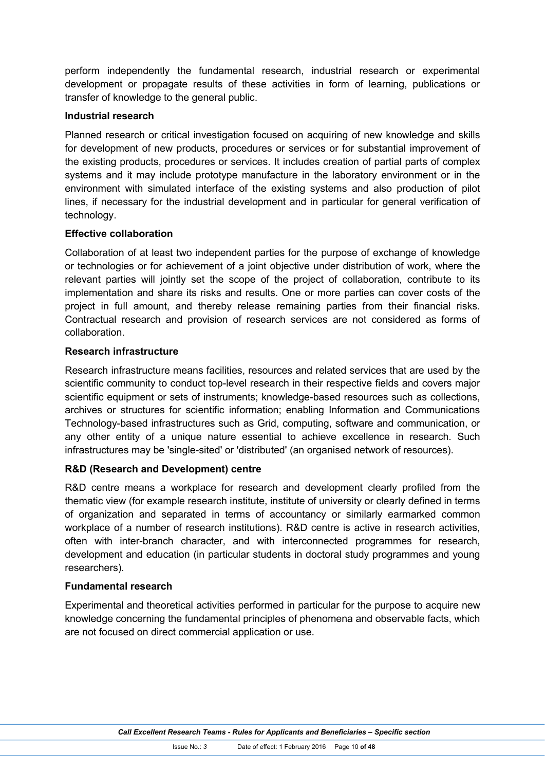perform independently the fundamental research, industrial research or experimental development or propagate results of these activities in form of learning, publications or transfer of knowledge to the general public.

#### **Industrial research**

Planned research or critical investigation focused on acquiring of new knowledge and skills for development of new products, procedures or services or for substantial improvement of the existing products, procedures or services. It includes creation of partial parts of complex systems and it may include prototype manufacture in the laboratory environment or in the environment with simulated interface of the existing systems and also production of pilot lines, if necessary for the industrial development and in particular for general verification of technology.

#### **Effective collaboration**

Collaboration of at least two independent parties for the purpose of exchange of knowledge or technologies or for achievement of a joint objective under distribution of work, where the relevant parties will jointly set the scope of the project of collaboration, contribute to its implementation and share its risks and results. One or more parties can cover costs of the project in full amount, and thereby release remaining parties from their financial risks. Contractual research and provision of research services are not considered as forms of collaboration.

#### **Research infrastructure**

Research infrastructure means facilities, resources and related services that are used by the scientific community to conduct top-level research in their respective fields and covers major scientific equipment or sets of instruments; knowledge-based resources such as collections, archives or structures for scientific information; enabling Information and Communications Technology-based infrastructures such as Grid, computing, software and communication, or any other entity of a unique nature essential to achieve excellence in research. Such infrastructures may be 'single-sited' or 'distributed' (an organised network of resources).

#### **R&D (Research and Development) centre**

R&D centre means a workplace for research and development clearly profiled from the thematic view (for example research institute, institute of university or clearly defined in terms of organization and separated in terms of accountancy or similarly earmarked common workplace of a number of research institutions). R&D centre is active in research activities, often with inter-branch character, and with interconnected programmes for research, development and education (in particular students in doctoral study programmes and young researchers).

#### **Fundamental research**

Experimental and theoretical activities performed in particular for the purpose to acquire new knowledge concerning the fundamental principles of phenomena and observable facts, which are not focused on direct commercial application or use.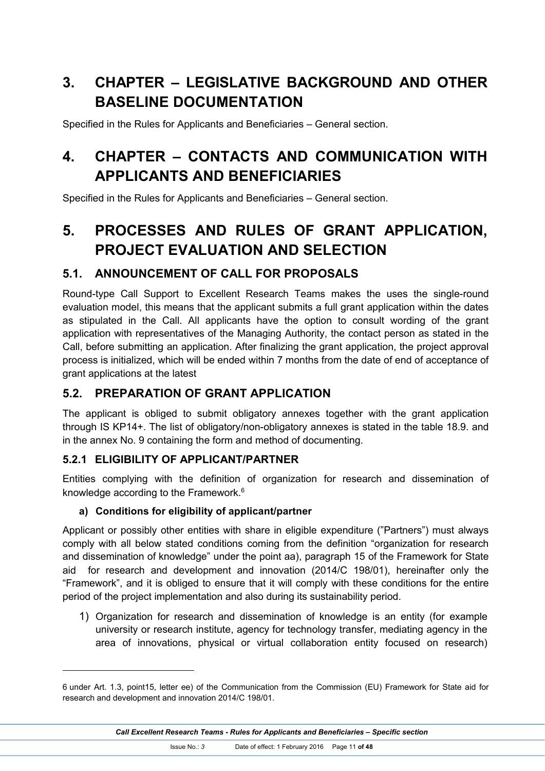# **3. CHAPTER – LEGISLATIVE BACKGROUND AND OTHER BASELINE DOCUMENTATION**

Specified in the Rules for Applicants and Beneficiaries – General section.

# **4. CHAPTER – CONTACTS AND COMMUNICATION WITH APPLICANTS AND BENEFICIARIES**

Specified in the Rules for Applicants and Beneficiaries – General section.

# **5. PROCESSES AND RULES OF GRANT APPLICATION, PROJECT EVALUATION AND SELECTION**

## **5.1. ANNOUNCEMENT OF CALL FOR PROPOSALS**

Round-type Call Support to Excellent Research Teams makes the uses the single-round evaluation model, this means that the applicant submits a full grant application within the dates as stipulated in the Call. All applicants have the option to consult wording of the grant application with representatives of the Managing Authority, the contact person as stated in the Call, before submitting an application. After finalizing the grant application, the project approval process is initialized, which will be ended within 7 months from the date of end of acceptance of grant applications at the latest

## **5.2. PREPARATION OF GRANT APPLICATION**

The applicant is obliged to submit obligatory annexes together with the grant application through IS KP14+. The list of obligatory/non-obligatory annexes is stated in the table 18.9. and in the annex No. 9 containing the form and method of documenting.

## **5.2.1 ELIGIBILITY OF APPLICANT/PARTNER**

 $\overline{a}$ 

Entities complying with the definition of organization for research and dissemination of knowledge according to the Framework. 6

#### **a) Conditions for eligibility of applicant/partner**

Applicant or possibly other entities with share in eligible expenditure ("Partners") must always comply with all below stated conditions coming from the definition "organization for research and dissemination of knowledge" under the point aa), paragraph 15 of the Framework for State aid for research and development and innovation (2014/C 198/01), hereinafter only the "Framework", and it is obliged to ensure that it will comply with these conditions for the entire period of the project implementation and also during its sustainability period.

1) Organization for research and dissemination of knowledge is an entity (for example university or research institute, agency for technology transfer, mediating agency in the area of innovations, physical or virtual collaboration entity focused on research)

<sup>6</sup> under Art. 1.3, point15, letter ee) of the Communication from the Commission (EU) Framework for State aid for research and development and innovation 2014/C 198/01.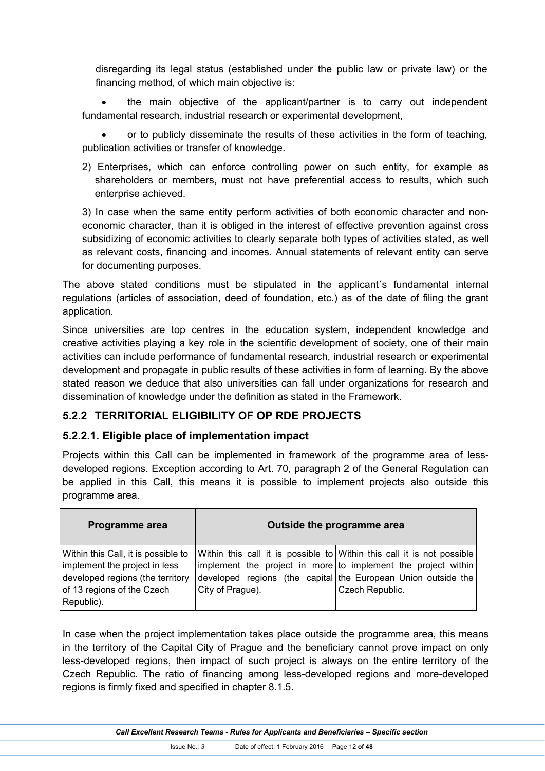disregarding its legal status (established under the public law or private law) or the financing method, of which main objective is:

 the main objective of the applicant/partner is to carry out independent fundamental research, industrial research or experimental development,

 or to publicly disseminate the results of these activities in the form of teaching, publication activities or transfer of knowledge.

2) Enterprises, which can enforce controlling power on such entity, for example as shareholders or members, must not have preferential access to results, which such enterprise achieved.

3) In case when the same entity perform activities of both economic character and noneconomic character, than it is obliged in the interest of effective prevention against cross subsidizing of economic activities to clearly separate both types of activities stated, as well as relevant costs, financing and incomes. Annual statements of relevant entity can serve for documenting purposes.

The above stated conditions must be stipulated in the applicant´s fundamental internal regulations (articles of association, deed of foundation, etc.) as of the date of filing the grant application.

Since universities are top centres in the education system, independent knowledge and creative activities playing a key role in the scientific development of society, one of their main activities can include performance of fundamental research, industrial research or experimental development and propagate in public results of these activities in form of learning. By the above stated reason we deduce that also universities can fall under organizations for research and dissemination of knowledge under the definition as stated in the Framework.

#### **5.2.2 TERRITORIAL ELIGIBILITY OF OP RDE PROJECTS**

#### **5.2.2.1. Eligible place of implementation impact**

Projects within this Call can be implemented in framework of the programme area of lessdeveloped regions. Exception according to Art. 70, paragraph 2 of the General Regulation can be applied in this Call, this means it is possible to implement projects also outside this programme area.

| Programme area                                                                                                                                       |                  | Outside the programme area                                                                                                                                                                                                  |
|------------------------------------------------------------------------------------------------------------------------------------------------------|------------------|-----------------------------------------------------------------------------------------------------------------------------------------------------------------------------------------------------------------------------|
| Within this Call, it is possible to<br>implement the project in less<br>developed regions (the territory<br>of 13 regions of the Czech<br>Republic). | City of Prague). | Within this call it is possible to Within this call it is not possible<br>implement the project in more to implement the project within<br>developed regions (the capital the European Union outside the<br>Czech Republic. |

In case when the project implementation takes place outside the programme area, this means in the territory of the Capital City of Prague and the beneficiary cannot prove impact on only less-developed regions, then impact of such project is always on the entire territory of the Czech Republic. The ratio of financing among less-developed regions and more-developed regions is firmly fixed and specified in chapter 8.1.5.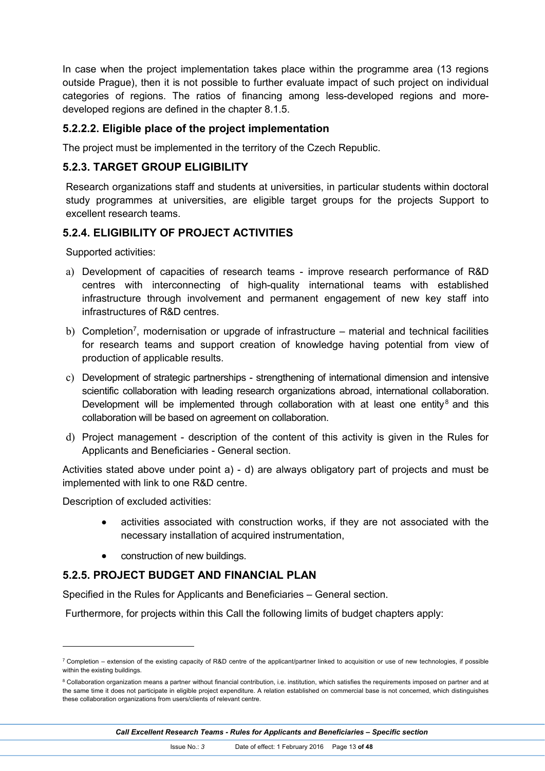In case when the project implementation takes place within the programme area (13 regions outside Prague), then it is not possible to further evaluate impact of such project on individual categories of regions. The ratios of financing among less-developed regions and moredeveloped regions are defined in the chapter 8.1.5.

#### **5.2.2.2. Eligible place of the project implementation**

The project must be implemented in the territory of the Czech Republic.

#### **5.2.3. TARGET GROUP ELIGIBILITY**

Research organizations staff and students at universities, in particular students within doctoral study programmes at universities, are eligible target groups for the projects Support to excellent research teams.

#### **5.2.4. ELIGIBILITY OF PROJECT ACTIVITIES**

Supported activities:

- a) Development of capacities of research teams improve research performance of R&D centres with interconnecting of high-quality international teams with established infrastructure through involvement and permanent engagement of new key staff into infrastructures of R&D centres.
- b) Completion<sup>7</sup>, modernisation or upgrade of infrastructure material and technical facilities for research teams and support creation of knowledge having potential from view of production of applicable results.
- c) Development of strategic partnerships strengthening of international dimension and intensive scientific collaboration with leading research organizations abroad, international collaboration. Development will be implemented through collaboration with at least one entity<sup>8</sup> and this collaboration will be based on agreement on collaboration.
- d) Project management description of the content of this activity is given in the Rules for Applicants and Beneficiaries - General section.

Activities stated above under point a) - d) are always obligatory part of projects and must be implemented with link to one R&D centre.

Description of excluded activities:

 $\overline{a}$ 

- activities associated with construction works, if they are not associated with the necessary installation of acquired instrumentation,
- construction of new buildings.

#### **5.2.5. PROJECT BUDGET AND FINANCIAL PLAN**

Specified in the Rules for Applicants and Beneficiaries – General section.

Furthermore, for projects within this Call the following limits of budget chapters apply:

*Call Excellent Research Teams - Rules for Applicants and Beneficiaries – Specific section*

 $7$  Completion – extension of the existing capacity of R&D centre of the applicant/partner linked to acquisition or use of new technologies, if possible within the existing buildings.

<sup>&</sup>lt;sup>8</sup> Collaboration organization means a partner without financial contribution, i.e. institution, which satisfies the requirements imposed on partner and at the same time it does not participate in eligible project expenditure. A relation established on commercial base is not concerned, which distinguishes these collaboration organizations from users/clients of relevant centre.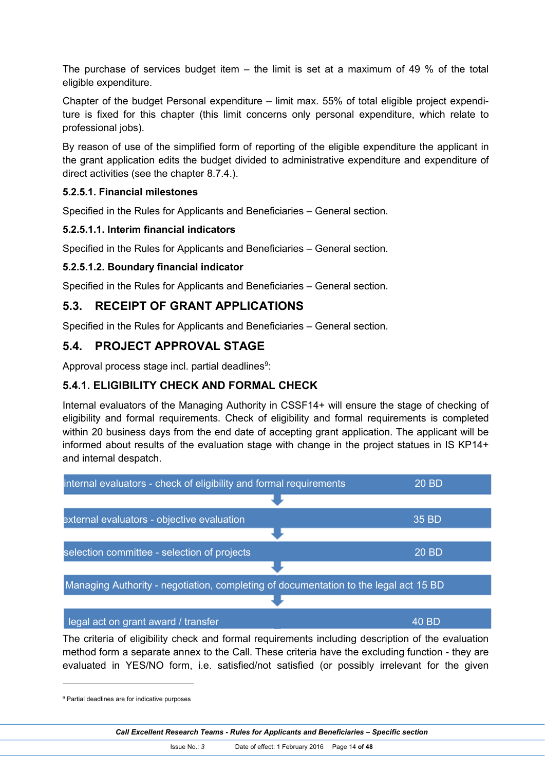The purchase of services budget item  $-$  the limit is set at a maximum of 49 % of the total eligible expenditure.

Chapter of the budget Personal expenditure – limit max. 55% of total eligible project expenditure is fixed for this chapter (this limit concerns only personal expenditure, which relate to professional jobs).

By reason of use of the simplified form of reporting of the eligible expenditure the applicant in the grant application edits the budget divided to administrative expenditure and expenditure of direct activities (see the chapter 8.7.4.).

#### **5.2.5.1. Financial milestones**

Specified in the Rules for Applicants and Beneficiaries – General section.

#### **5.2.5.1.1. Interim financial indicators**

Specified in the Rules for Applicants and Beneficiaries – General section.

#### **5.2.5.1.2. Boundary financial indicator**

Specified in the Rules for Applicants and Beneficiaries – General section.

#### **5.3. RECEIPT OF GRANT APPLICATIONS**

Specified in the Rules for Applicants and Beneficiaries – General section.

## **5.4. PROJECT APPROVAL STAGE**

Approval process stage incl. partial deadlines $9$ :

## **5.4.1. ELIGIBILITY CHECK AND FORMAL CHECK**

Internal evaluators of the Managing Authority in CSSF14+ will ensure the stage of checking of eligibility and formal requirements. Check of eligibility and formal requirements is completed within 20 business days from the end date of accepting grant application. The applicant will be informed about results of the evaluation stage with change in the project statues in IS KP14+ and internal despatch.



The criteria of eligibility check and formal requirements including description of the evaluation method form a separate annex to the Call. These criteria have the excluding function - they are evaluated in YES/NO form, i.e. satisfied/not satisfied (or possibly irrelevant for the given

<sup>&</sup>lt;sup>9</sup> Partial deadlines are for indicative purposes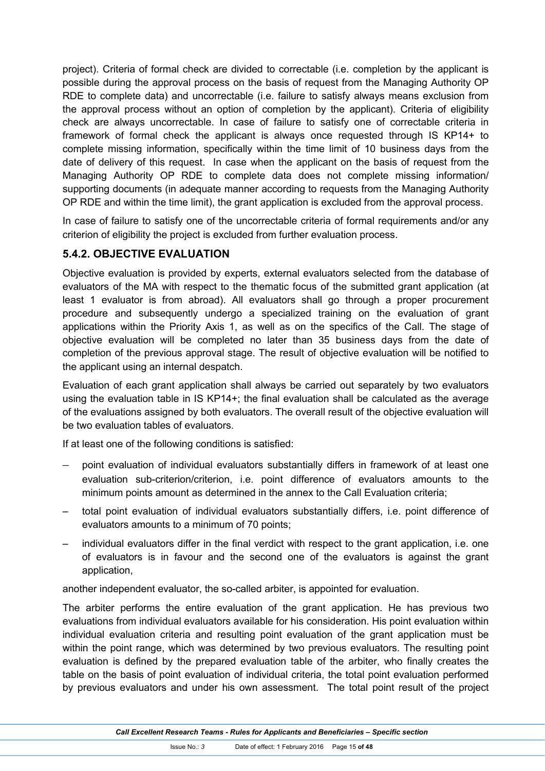project). Criteria of formal check are divided to correctable (i.e. completion by the applicant is possible during the approval process on the basis of request from the Managing Authority OP RDE to complete data) and uncorrectable (i.e. failure to satisfy always means exclusion from the approval process without an option of completion by the applicant). Criteria of eligibility check are always uncorrectable. In case of failure to satisfy one of correctable criteria in framework of formal check the applicant is always once requested through IS KP14+ to complete missing information, specifically within the time limit of 10 business days from the date of delivery of this request. In case when the applicant on the basis of request from the Managing Authority OP RDE to complete data does not complete missing information/ supporting documents (in adequate manner according to requests from the Managing Authority OP RDE and within the time limit), the grant application is excluded from the approval process.

In case of failure to satisfy one of the uncorrectable criteria of formal requirements and/or any criterion of eligibility the project is excluded from further evaluation process.

#### **5.4.2. OBJECTIVE EVALUATION**

Objective evaluation is provided by experts, external evaluators selected from the database of evaluators of the MA with respect to the thematic focus of the submitted grant application (at least 1 evaluator is from abroad). All evaluators shall go through a proper procurement procedure and subsequently undergo a specialized training on the evaluation of grant applications within the Priority Axis 1, as well as on the specifics of the Call. The stage of objective evaluation will be completed no later than 35 business days from the date of completion of the previous approval stage. The result of objective evaluation will be notified to the applicant using an internal despatch.

Evaluation of each grant application shall always be carried out separately by two evaluators using the evaluation table in IS KP14+; the final evaluation shall be calculated as the average of the evaluations assigned by both evaluators. The overall result of the objective evaluation will be two evaluation tables of evaluators.

If at least one of the following conditions is satisfied:

- point evaluation of individual evaluators substantially differs in framework of at least one evaluation sub-criterion/criterion, i.e. point difference of evaluators amounts to the minimum points amount as determined in the annex to the Call Evaluation criteria;
- total point evaluation of individual evaluators substantially differs, i.e. point difference of evaluators amounts to a minimum of 70 points;
- individual evaluators differ in the final verdict with respect to the grant application, i.e. one of evaluators is in favour and the second one of the evaluators is against the grant application,

another independent evaluator, the so-called arbiter, is appointed for evaluation.

The arbiter performs the entire evaluation of the grant application. He has previous two evaluations from individual evaluators available for his consideration. His point evaluation within individual evaluation criteria and resulting point evaluation of the grant application must be within the point range, which was determined by two previous evaluators. The resulting point evaluation is defined by the prepared evaluation table of the arbiter, who finally creates the table on the basis of point evaluation of individual criteria, the total point evaluation performed by previous evaluators and under his own assessment. The total point result of the project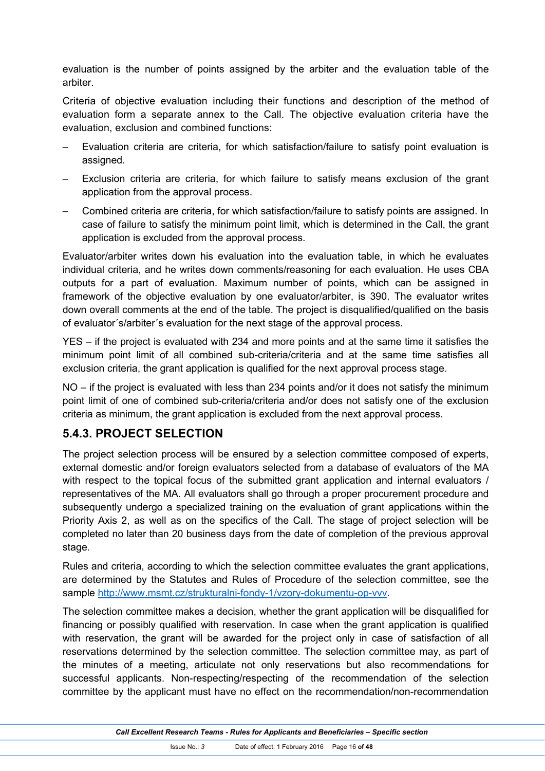evaluation is the number of points assigned by the arbiter and the evaluation table of the arbiter.

Criteria of objective evaluation including their functions and description of the method of evaluation form a separate annex to the Call. The objective evaluation criteria have the evaluation, exclusion and combined functions:

- Evaluation criteria are criteria, for which satisfaction/failure to satisfy point evaluation is assigned.
- Exclusion criteria are criteria, for which failure to satisfy means exclusion of the grant application from the approval process.
- Combined criteria are criteria, for which satisfaction/failure to satisfy points are assigned. In case of failure to satisfy the minimum point limit, which is determined in the Call, the grant application is excluded from the approval process.

Evaluator/arbiter writes down his evaluation into the evaluation table, in which he evaluates individual criteria, and he writes down comments/reasoning for each evaluation. He uses CBA outputs for a part of evaluation. Maximum number of points, which can be assigned in framework of the objective evaluation by one evaluator/arbiter, is 390. The evaluator writes down overall comments at the end of the table. The project is disqualified/qualified on the basis of evaluator´s/arbiter´s evaluation for the next stage of the approval process.

YES – if the project is evaluated with 234 and more points and at the same time it satisfies the minimum point limit of all combined sub-criteria/criteria and at the same time satisfies all exclusion criteria, the grant application is qualified for the next approval process stage.

NO – if the project is evaluated with less than 234 points and/or it does not satisfy the minimum point limit of one of combined sub-criteria/criteria and/or does not satisfy one of the exclusion criteria as minimum, the grant application is excluded from the next approval process.

## **5.4.3. PROJECT SELECTION**

The project selection process will be ensured by a selection committee composed of experts, external domestic and/or foreign evaluators selected from a database of evaluators of the MA with respect to the topical focus of the submitted grant application and internal evaluators / representatives of the MA. All evaluators shall go through a proper procurement procedure and subsequently undergo a specialized training on the evaluation of grant applications within the Priority Axis 2, as well as on the specifics of the Call. The stage of project selection will be completed no later than 20 business days from the date of completion of the previous approval stage.

Rules and criteria, according to which the selection committee evaluates the grant applications, are determined by the Statutes and Rules of Procedure of the selection committee, see the sample http://www.msmt.cz/strukturalni-fondy-1/vzory-dokumentu-op-vvv.

The selection committee makes a decision, whether the grant application will be disqualified for financing or possibly qualified with reservation. In case when the grant application is qualified with reservation, the grant will be awarded for the project only in case of satisfaction of all reservations determined by the selection committee. The selection committee may, as part of the minutes of a meeting, articulate not only reservations but also recommendations for successful applicants. Non-respecting/respecting of the recommendation of the selection committee by the applicant must have no effect on the recommendation/non-recommendation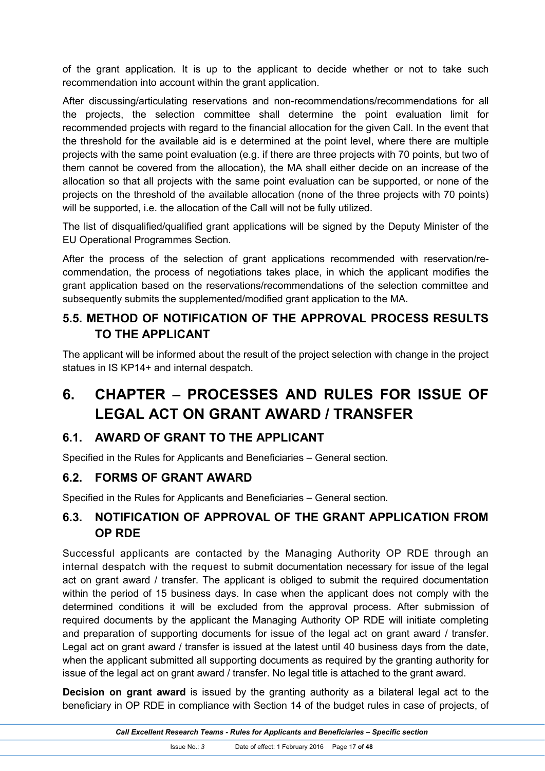of the grant application. It is up to the applicant to decide whether or not to take such recommendation into account within the grant application.

After discussing/articulating reservations and non-recommendations/recommendations for all the projects, the selection committee shall determine the point evaluation limit for recommended projects with regard to the financial allocation for the given Call. In the event that the threshold for the available aid is e determined at the point level, where there are multiple projects with the same point evaluation (e.g. if there are three projects with 70 points, but two of them cannot be covered from the allocation), the MA shall either decide on an increase of the allocation so that all projects with the same point evaluation can be supported, or none of the projects on the threshold of the available allocation (none of the three projects with 70 points) will be supported, i.e. the allocation of the Call will not be fully utilized.

The list of disqualified/qualified grant applications will be signed by the Deputy Minister of the EU Operational Programmes Section.

After the process of the selection of grant applications recommended with reservation/recommendation, the process of negotiations takes place, in which the applicant modifies the grant application based on the reservations/recommendations of the selection committee and subsequently submits the supplemented/modified grant application to the MA.

## **5.5. METHOD OF NOTIFICATION OF THE APPROVAL PROCESS RESULTS TO THE APPLICANT**

The applicant will be informed about the result of the project selection with change in the project statues in IS KP14+ and internal despatch.

# **6. CHAPTER – PROCESSES AND RULES FOR ISSUE OF LEGAL ACT ON GRANT AWARD / TRANSFER**

## **6.1. AWARD OF GRANT TO THE APPLICANT**

Specified in the Rules for Applicants and Beneficiaries – General section.

## **6.2. FORMS OF GRANT AWARD**

Specified in the Rules for Applicants and Beneficiaries – General section.

## **6.3. NOTIFICATION OF APPROVAL OF THE GRANT APPLICATION FROM OP RDE**

Successful applicants are contacted by the Managing Authority OP RDE through an internal despatch with the request to submit documentation necessary for issue of the legal act on grant award / transfer. The applicant is obliged to submit the required documentation within the period of 15 business days. In case when the applicant does not comply with the determined conditions it will be excluded from the approval process. After submission of required documents by the applicant the Managing Authority OP RDE will initiate completing and preparation of supporting documents for issue of the legal act on grant award / transfer. Legal act on grant award / transfer is issued at the latest until 40 business days from the date, when the applicant submitted all supporting documents as required by the granting authority for issue of the legal act on grant award / transfer. No legal title is attached to the grant award.

**Decision on grant award** is issued by the granting authority as a bilateral legal act to the beneficiary in OP RDE in compliance with Section 14 of the budget rules in case of projects, of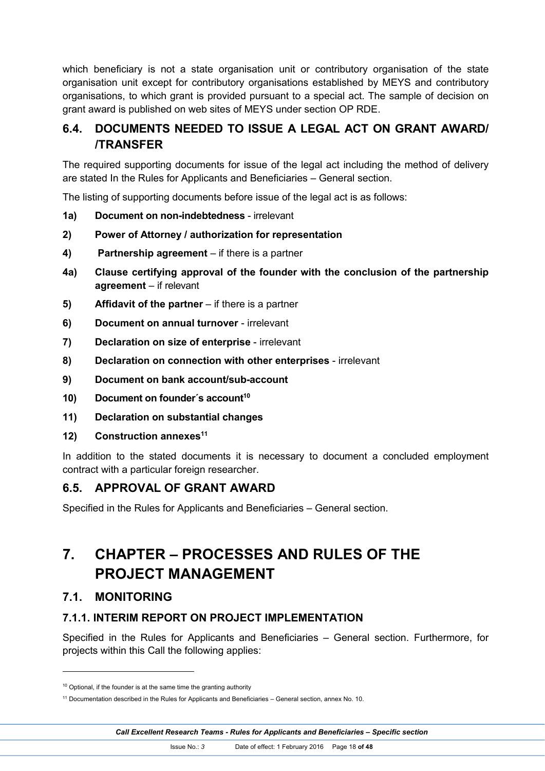which beneficiary is not a state organisation unit or contributory organisation of the state organisation unit except for contributory organisations established by MEYS and contributory organisations, to which grant is provided pursuant to a special act. The sample of decision on grant award is published on web sites of MEYS under section OP RDE.

## **6.4. DOCUMENTS NEEDED TO ISSUE A LEGAL ACT ON GRANT AWARD/ /TRANSFER**

The required supporting documents for issue of the legal act including the method of delivery are stated In the Rules for Applicants and Beneficiaries – General section.

The listing of supporting documents before issue of the legal act is as follows:

- **1a) Document on non-indebtedness** irrelevant
- **2) Power of Attorney / authorization for representation**
- **4) Partnership agreement** if there is a partner
- **4a) Clause certifying approval of the founder with the conclusion of the partnership agreement** – if relevant
- **5) Affidavit of the partner** if there is a partner
- **6) Document on annual turnover** irrelevant
- **7) Declaration on size of enterprise** irrelevant
- **8) Declaration on connection with other enterprises** irrelevant
- **9) Document on bank account/sub-account**
- **10) Document on founder´s account<sup>10</sup>**
- **11) Declaration on substantial changes**
- **12) Construction annexes<sup>11</sup>**

In addition to the stated documents it is necessary to document a concluded employment contract with a particular foreign researcher.

#### **6.5. APPROVAL OF GRANT AWARD**

Specified in the Rules for Applicants and Beneficiaries – General section.

# **7. CHAPTER – PROCESSES AND RULES OF THE PROJECT MANAGEMENT**

#### **7.1. MONITORING**

#### **7.1.1. INTERIM REPORT ON PROJECT IMPLEMENTATION**

Specified in the Rules for Applicants and Beneficiaries – General section. Furthermore, for projects within this Call the following applies:

 $10$  Optional, if the founder is at the same time the granting authority

<sup>11</sup> Documentation described in the Rules for Applicants and Beneficiaries – General section, annex No. 10.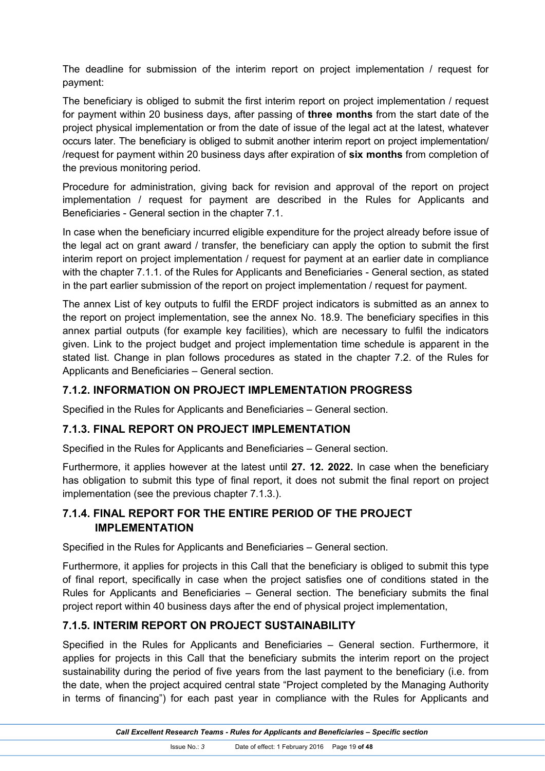The deadline for submission of the interim report on project implementation / request for payment:

The beneficiary is obliged to submit the first interim report on project implementation / request for payment within 20 business days, after passing of **three months** from the start date of the project physical implementation or from the date of issue of the legal act at the latest, whatever occurs later. The beneficiary is obliged to submit another interim report on project implementation/ /request for payment within 20 business days after expiration of **six months** from completion of the previous monitoring period.

Procedure for administration, giving back for revision and approval of the report on project implementation / request for payment are described in the Rules for Applicants and Beneficiaries - General section in the chapter 7.1.

In case when the beneficiary incurred eligible expenditure for the project already before issue of the legal act on grant award / transfer, the beneficiary can apply the option to submit the first interim report on project implementation / request for payment at an earlier date in compliance with the chapter 7.1.1. of the Rules for Applicants and Beneficiaries - General section, as stated in the part earlier submission of the report on project implementation / request for payment.

The annex List of key outputs to fulfil the ERDF project indicators is submitted as an annex to the report on project implementation, see the annex No. 18.9. The beneficiary specifies in this annex partial outputs (for example key facilities), which are necessary to fulfil the indicators given. Link to the project budget and project implementation time schedule is apparent in the stated list. Change in plan follows procedures as stated in the chapter 7.2. of the Rules for Applicants and Beneficiaries – General section.

#### **7.1.2. INFORMATION ON PROJECT IMPLEMENTATION PROGRESS**

Specified in the Rules for Applicants and Beneficiaries – General section.

#### **7.1.3. FINAL REPORT ON PROJECT IMPLEMENTATION**

Specified in the Rules for Applicants and Beneficiaries – General section.

Furthermore, it applies however at the latest until **27. 12. 2022.** In case when the beneficiary has obligation to submit this type of final report, it does not submit the final report on project implementation (see the previous chapter 7.1.3.).

## **7.1.4. FINAL REPORT FOR THE ENTIRE PERIOD OF THE PROJECT IMPLEMENTATION**

Specified in the Rules for Applicants and Beneficiaries – General section.

Furthermore, it applies for projects in this Call that the beneficiary is obliged to submit this type of final report, specifically in case when the project satisfies one of conditions stated in the Rules for Applicants and Beneficiaries – General section. The beneficiary submits the final project report within 40 business days after the end of physical project implementation,

#### **7.1.5. INTERIM REPORT ON PROJECT SUSTAINABILITY**

Specified in the Rules for Applicants and Beneficiaries – General section. Furthermore, it applies for projects in this Call that the beneficiary submits the interim report on the project sustainability during the period of five years from the last payment to the beneficiary (i.e. from the date, when the project acquired central state "Project completed by the Managing Authority in terms of financing") for each past year in compliance with the Rules for Applicants and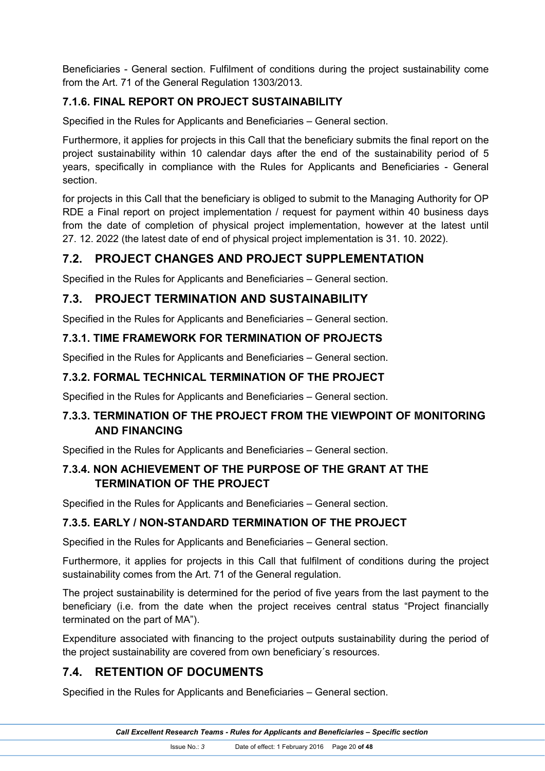Beneficiaries - General section. Fulfilment of conditions during the project sustainability come from the Art. 71 of the General Regulation 1303/2013.

## **7.1.6. FINAL REPORT ON PROJECT SUSTAINABILITY**

Specified in the Rules for Applicants and Beneficiaries – General section.

Furthermore, it applies for projects in this Call that the beneficiary submits the final report on the project sustainability within 10 calendar days after the end of the sustainability period of 5 years, specifically in compliance with the Rules for Applicants and Beneficiaries - General section.

for projects in this Call that the beneficiary is obliged to submit to the Managing Authority for OP RDE a Final report on project implementation / request for payment within 40 business days from the date of completion of physical project implementation, however at the latest until 27. 12. 2022 (the latest date of end of physical project implementation is 31. 10. 2022).

## **7.2. PROJECT CHANGES AND PROJECT SUPPLEMENTATION**

Specified in the Rules for Applicants and Beneficiaries – General section.

## **7.3. PROJECT TERMINATION AND SUSTAINABILITY**

Specified in the Rules for Applicants and Beneficiaries – General section.

## **7.3.1. TIME FRAMEWORK FOR TERMINATION OF PROJECTS**

Specified in the Rules for Applicants and Beneficiaries – General section.

## **7.3.2. FORMAL TECHNICAL TERMINATION OF THE PROJECT**

Specified in the Rules for Applicants and Beneficiaries – General section.

## **7.3.3. TERMINATION OF THE PROJECT FROM THE VIEWPOINT OF MONITORING AND FINANCING**

Specified in the Rules for Applicants and Beneficiaries – General section.

## **7.3.4. NON ACHIEVEMENT OF THE PURPOSE OF THE GRANT AT THE TERMINATION OF THE PROJECT**

Specified in the Rules for Applicants and Beneficiaries – General section.

## **7.3.5. EARLY / NON-STANDARD TERMINATION OF THE PROJECT**

Specified in the Rules for Applicants and Beneficiaries – General section.

Furthermore, it applies for projects in this Call that fulfilment of conditions during the project sustainability comes from the Art. 71 of the General regulation.

The project sustainability is determined for the period of five years from the last payment to the beneficiary (i.e. from the date when the project receives central status "Project financially terminated on the part of MA").

Expenditure associated with financing to the project outputs sustainability during the period of the project sustainability are covered from own beneficiary´s resources.

## **7.4. RETENTION OF DOCUMENTS**

Specified in the Rules for Applicants and Beneficiaries – General section.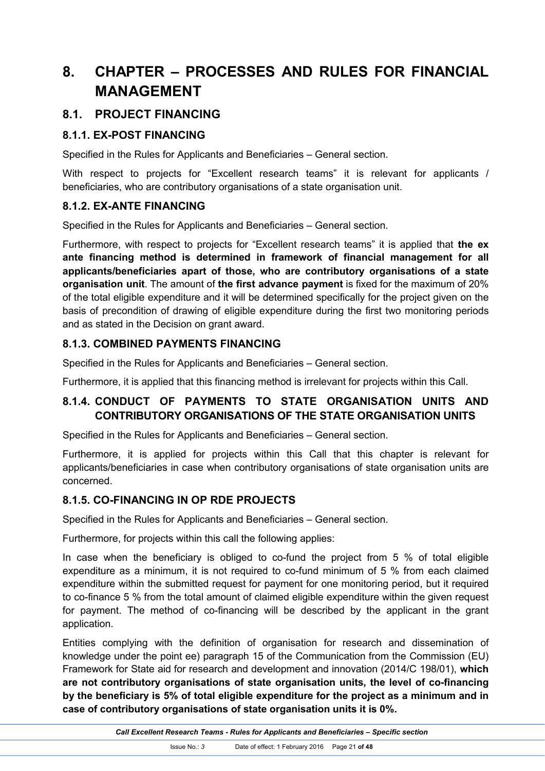# **8. CHAPTER – PROCESSES AND RULES FOR FINANCIAL MANAGEMENT**

## **8.1. PROJECT FINANCING**

#### **8.1.1. EX-POST FINANCING**

Specified in the Rules for Applicants and Beneficiaries – General section.

With respect to projects for "Excellent research teams" it is relevant for applicants / beneficiaries, who are contributory organisations of a state organisation unit.

#### **8.1.2. EX-ANTE FINANCING**

Specified in the Rules for Applicants and Beneficiaries – General section.

Furthermore, with respect to projects for "Excellent research teams" it is applied that **the ex ante financing method is determined in framework of financial management for all applicants/beneficiaries apart of those, who are contributory organisations of a state organisation unit**. The amount of **the first advance payment** is fixed for the maximum of 20% of the total eligible expenditure and it will be determined specifically for the project given on the basis of precondition of drawing of eligible expenditure during the first two monitoring periods and as stated in the Decision on grant award.

#### **8.1.3. COMBINED PAYMENTS FINANCING**

Specified in the Rules for Applicants and Beneficiaries – General section.

Furthermore, it is applied that this financing method is irrelevant for projects within this Call.

## **8.1.4. CONDUCT OF PAYMENTS TO STATE ORGANISATION UNITS AND CONTRIBUTORY ORGANISATIONS OF THE STATE ORGANISATION UNITS**

Specified in the Rules for Applicants and Beneficiaries – General section.

Furthermore, it is applied for projects within this Call that this chapter is relevant for applicants/beneficiaries in case when contributory organisations of state organisation units are concerned.

#### **8.1.5. CO-FINANCING IN OP RDE PROJECTS**

Specified in the Rules for Applicants and Beneficiaries – General section.

Furthermore, for projects within this call the following applies:

In case when the beneficiary is obliged to co-fund the project from 5 % of total eligible expenditure as a minimum, it is not required to co-fund minimum of 5 % from each claimed expenditure within the submitted request for payment for one monitoring period, but it required to co-finance 5 % from the total amount of claimed eligible expenditure within the given request for payment. The method of co-financing will be described by the applicant in the grant application.

Entities complying with the definition of organisation for research and dissemination of knowledge under the point ee) paragraph 15 of the Communication from the Commission (EU) Framework for State aid for research and development and innovation (2014/C 198/01), **which are not contributory organisations of state organisation units, the level of co-financing by the beneficiary is 5% of total eligible expenditure for the project as a minimum and in case of contributory organisations of state organisation units it is 0%.**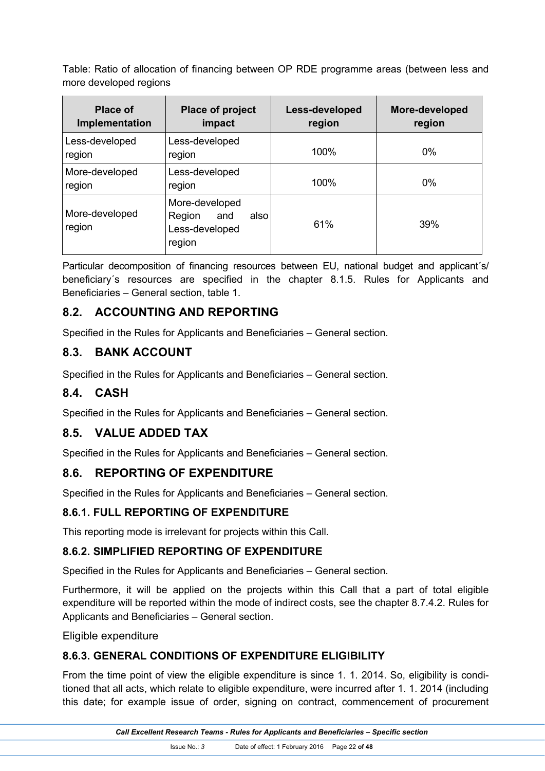Table: Ratio of allocation of financing between OP RDE programme areas (between less and more developed regions

| <b>Place of</b><br>Implementation | Place of project<br>impact                                          | Less-developed<br>region | More-developed<br>region |
|-----------------------------------|---------------------------------------------------------------------|--------------------------|--------------------------|
| Less-developed<br>region          | Less-developed<br>region                                            | 100%                     | 0%                       |
| More-developed<br>region          | Less-developed<br>region                                            | 100%                     | $0\%$                    |
| More-developed<br>region          | More-developed<br>Region<br>also<br>and<br>Less-developed<br>region | 61%                      | 39%                      |

Particular decomposition of financing resources between EU, national budget and applicant's/ beneficiary´s resources are specified in the chapter 8.1.5. Rules for Applicants and Beneficiaries – General section, table 1.

## **8.2. ACCOUNTING AND REPORTING**

Specified in the Rules for Applicants and Beneficiaries – General section.

## **8.3. BANK ACCOUNT**

Specified in the Rules for Applicants and Beneficiaries – General section.

#### **8.4. CASH**

Specified in the Rules for Applicants and Beneficiaries – General section.

#### **8.5. VALUE ADDED TAX**

Specified in the Rules for Applicants and Beneficiaries – General section.

#### **8.6. REPORTING OF EXPENDITURE**

Specified in the Rules for Applicants and Beneficiaries – General section.

#### **8.6.1. FULL REPORTING OF EXPENDITURE**

This reporting mode is irrelevant for projects within this Call.

#### **8.6.2. SIMPLIFIED REPORTING OF EXPENDITURE**

Specified in the Rules for Applicants and Beneficiaries – General section.

Furthermore, it will be applied on the projects within this Call that a part of total eligible expenditure will be reported within the mode of indirect costs, see the chapter 8.7.4.2. Rules for Applicants and Beneficiaries – General section.

Eligible expenditure

#### **8.6.3. GENERAL CONDITIONS OF EXPENDITURE ELIGIBILITY**

From the time point of view the eligible expenditure is since 1. 1. 2014. So, eligibility is conditioned that all acts, which relate to eligible expenditure, were incurred after 1. 1. 2014 (including this date; for example issue of order, signing on contract, commencement of procurement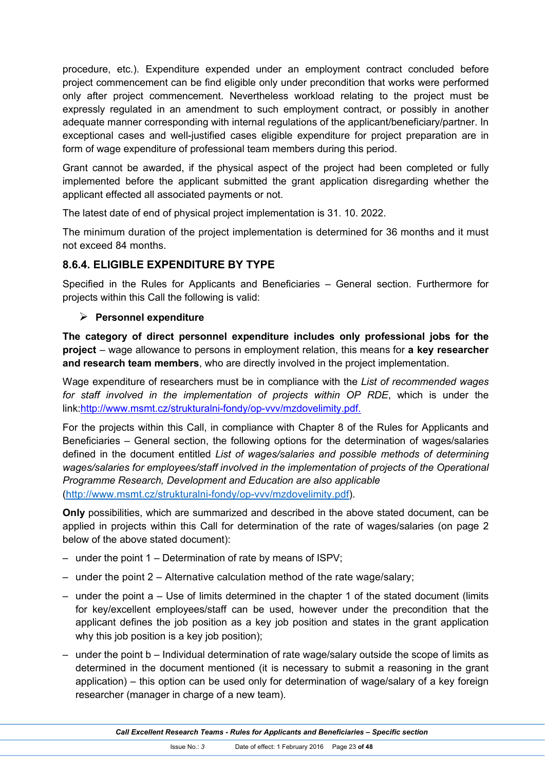procedure, etc.). Expenditure expended under an employment contract concluded before project commencement can be find eligible only under precondition that works were performed only after project commencement. Nevertheless workload relating to the project must be expressly regulated in an amendment to such employment contract, or possibly in another adequate manner corresponding with internal regulations of the applicant/beneficiary/partner. In exceptional cases and well-justified cases eligible expenditure for project preparation are in form of wage expenditure of professional team members during this period.

Grant cannot be awarded, if the physical aspect of the project had been completed or fully implemented before the applicant submitted the grant application disregarding whether the applicant effected all associated payments or not.

The latest date of end of physical project implementation is 31. 10. 2022.

The minimum duration of the project implementation is determined for 36 months and it must not exceed 84 months.

#### **8.6.4. ELIGIBLE EXPENDITURE BY TYPE**

Specified in the Rules for Applicants and Beneficiaries – General section. Furthermore for projects within this Call the following is valid:

#### **Personnel expenditure**

**The category of direct personnel expenditure includes only professional jobs for the project** – wage allowance to persons in employment relation, this means for **a key researcher and research team members**, who are directly involved in the project implementation.

Wage expenditure of researchers must be in compliance with the *List of recommended wages for staff involved in the implementation of projects within OP RDE*, which is under the link:http://www.msmt.cz/strukturalni-fondy/op-vvv/mzdovelimity.pdf.

For the projects within this Call, in compliance with Chapter 8 of the Rules for Applicants and Beneficiaries – General section, the following options for the determination of wages/salaries defined in the document entitled *List of wages/salaries and possible methods of determining wages/salaries for employees/staff involved in the implementation of projects of the Operational Programme Research, Development and Education are also applicable* (http://www.msmt.cz/strukturalni-fondy/op-vvv/mzdovelimity.pdf).

**Only** possibilities, which are summarized and described in the above stated document, can be applied in projects within this Call for determination of the rate of wages/salaries (on page 2 below of the above stated document):

- under the point 1 Determination of rate by means of ISPV;
- under the point 2 Alternative calculation method of the rate wage/salary;
- $-$  under the point a  $-$  Use of limits determined in the chapter 1 of the stated document (limits for key/excellent employees/staff can be used, however under the precondition that the applicant defines the job position as a key job position and states in the grant application why this job position is a key job position);
- under the point b Individual determination of rate wage/salary outside the scope of limits as determined in the document mentioned (it is necessary to submit a reasoning in the grant application) – this option can be used only for determination of wage/salary of a key foreign researcher (manager in charge of a new team).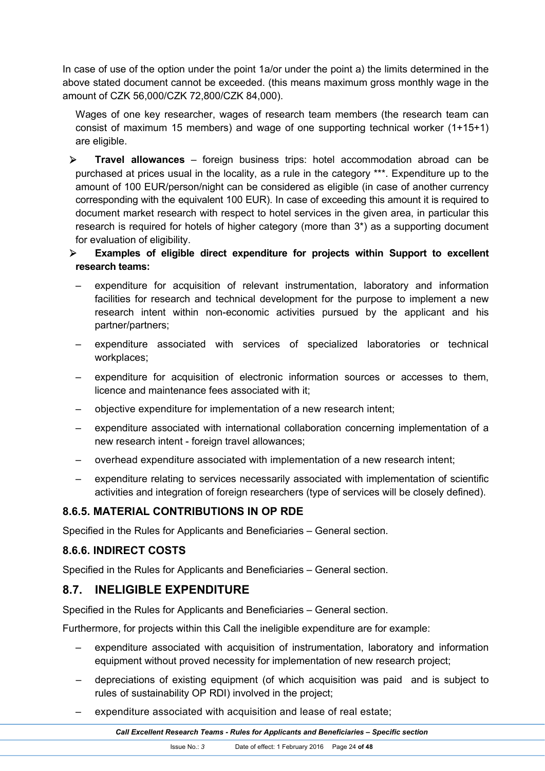In case of use of the option under the point 1a/or under the point a) the limits determined in the above stated document cannot be exceeded. (this means maximum gross monthly wage in the amount of CZK 56,000/CZK 72,800/CZK 84,000).

Wages of one key researcher, wages of research team members (the research team can consist of maximum 15 members) and wage of one supporting technical worker (1+15+1) are eligible.

- **Travel allowances** foreign business trips: hotel accommodation abroad can be purchased at prices usual in the locality, as a rule in the category \*\*\*. Expenditure up to the amount of 100 EUR/person/night can be considered as eligible (in case of another currency corresponding with the equivalent 100 EUR). In case of exceeding this amount it is required to document market research with respect to hotel services in the given area, in particular this research is required for hotels of higher category (more than 3\*) as a supporting document for evaluation of eligibility.
- **Examples of eligible direct expenditure for projects within Support to excellent research teams:**
	- expenditure for acquisition of relevant instrumentation, laboratory and information facilities for research and technical development for the purpose to implement a new research intent within non-economic activities pursued by the applicant and his partner/partners;
	- expenditure associated with services of specialized laboratories or technical workplaces;
	- expenditure for acquisition of electronic information sources or accesses to them, licence and maintenance fees associated with it;
	- objective expenditure for implementation of a new research intent;
	- expenditure associated with international collaboration concerning implementation of a new research intent - foreign travel allowances;
	- overhead expenditure associated with implementation of a new research intent;
	- expenditure relating to services necessarily associated with implementation of scientific activities and integration of foreign researchers (type of services will be closely defined).

## **8.6.5. MATERIAL CONTRIBUTIONS IN OP RDE**

Specified in the Rules for Applicants and Beneficiaries – General section.

## **8.6.6. INDIRECT COSTS**

Specified in the Rules for Applicants and Beneficiaries – General section.

## **8.7. INELIGIBLE EXPENDITURE**

Specified in the Rules for Applicants and Beneficiaries – General section.

Furthermore, for projects within this Call the ineligible expenditure are for example:

- expenditure associated with acquisition of instrumentation, laboratory and information equipment without proved necessity for implementation of new research project;
- depreciations of existing equipment (of which acquisition was paid and is subject to rules of sustainability OP RDI) involved in the project;
- expenditure associated with acquisition and lease of real estate;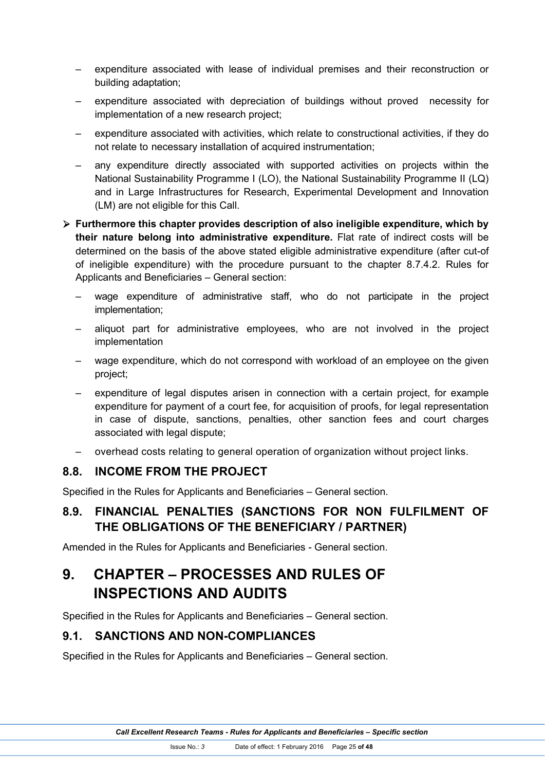- expenditure associated with lease of individual premises and their reconstruction or building adaptation;
- expenditure associated with depreciation of buildings without proved necessity for implementation of a new research project;
- expenditure associated with activities, which relate to constructional activities, if they do not relate to necessary installation of acquired instrumentation;
- any expenditure directly associated with supported activities on projects within the National Sustainability Programme I (LO), the National Sustainability Programme II (LQ) and in Large Infrastructures for Research, Experimental Development and Innovation (LM) are not eligible for this Call.
- **Furthermore this chapter provides description of also ineligible expenditure, which by their nature belong into administrative expenditure.** Flat rate of indirect costs will be determined on the basis of the above stated eligible administrative expenditure (after cut-of of ineligible expenditure) with the procedure pursuant to the chapter 8.7.4.2. Rules for Applicants and Beneficiaries – General section:
	- wage expenditure of administrative staff, who do not participate in the project implementation;
	- aliquot part for administrative employees, who are not involved in the project implementation
	- wage expenditure, which do not correspond with workload of an employee on the given project;
	- expenditure of legal disputes arisen in connection with a certain project, for example expenditure for payment of a court fee, for acquisition of proofs, for legal representation in case of dispute, sanctions, penalties, other sanction fees and court charges associated with legal dispute;
	- overhead costs relating to general operation of organization without project links.

## **8.8. INCOME FROM THE PROJECT**

Specified in the Rules for Applicants and Beneficiaries – General section.

## **8.9. FINANCIAL PENALTIES (SANCTIONS FOR NON FULFILMENT OF THE OBLIGATIONS OF THE BENEFICIARY / PARTNER)**

Amended in the Rules for Applicants and Beneficiaries - General section.

# **9. CHAPTER – PROCESSES AND RULES OF INSPECTIONS AND AUDITS**

Specified in the Rules for Applicants and Beneficiaries – General section.

## **9.1. SANCTIONS AND NON-COMPLIANCES**

Specified in the Rules for Applicants and Beneficiaries – General section.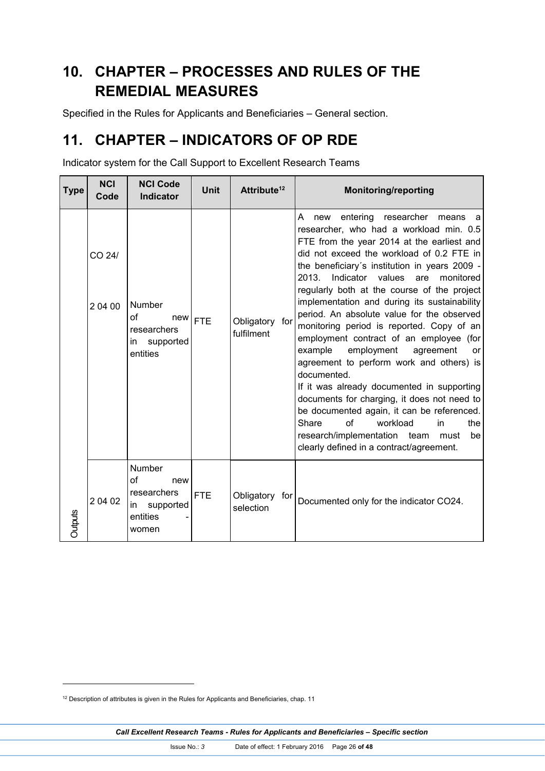# **10. CHAPTER – PROCESSES AND RULES OF THE REMEDIAL MEASURES**

Specified in the Rules for Applicants and Beneficiaries – General section.

# **11. CHAPTER – INDICATORS OF OP RDE**

Indicator system for the Call Support to Excellent Research Teams

| Type    | <b>NCI</b><br>Code | <b>NCI Code</b><br><b>Indicator</b>                                        | <b>Unit</b> | Attribute <sup>12</sup>      | <b>Monitoring/reporting</b>                                                                                                                                                                                                                                                                                                                                                                                                                                                                                                                                                                                                                                                                                                                                                                                                                                                                                                 |
|---------|--------------------|----------------------------------------------------------------------------|-------------|------------------------------|-----------------------------------------------------------------------------------------------------------------------------------------------------------------------------------------------------------------------------------------------------------------------------------------------------------------------------------------------------------------------------------------------------------------------------------------------------------------------------------------------------------------------------------------------------------------------------------------------------------------------------------------------------------------------------------------------------------------------------------------------------------------------------------------------------------------------------------------------------------------------------------------------------------------------------|
|         | CO 24/<br>20400    | Number<br>of<br>new<br>researchers<br>supported<br>in<br>entities          | <b>FTE</b>  | Obligatory for<br>fulfilment | entering<br>A<br>researcher<br>new<br>means<br>a<br>researcher, who had a workload min. 0.5<br>FTE from the year 2014 at the earliest and<br>did not exceed the workload of 0.2 FTE in<br>the beneficiary's institution in years 2009 -<br>2013.<br>Indicator<br>values<br>are<br>monitored<br>regularly both at the course of the project<br>implementation and during its sustainability<br>period. An absolute value for the observed<br>monitoring period is reported. Copy of an<br>employment contract of an employee (for<br>example<br>employment<br>agreement<br><b>or</b><br>agreement to perform work and others) is<br>documented.<br>If it was already documented in supporting<br>documents for charging, it does not need to<br>be documented again, it can be referenced.<br>Share<br>of<br>workload<br>in<br>the<br>research/implementation team<br>must<br>be<br>clearly defined in a contract/agreement. |
| Outputs | 2 04 02            | Number<br>of<br>new<br>researchers<br>supported<br>in<br>entities<br>women | <b>FTE</b>  | Obligatory for<br>selection  | Documented only for the indicator CO24.                                                                                                                                                                                                                                                                                                                                                                                                                                                                                                                                                                                                                                                                                                                                                                                                                                                                                     |

<sup>&</sup>lt;sup>12</sup> Description of attributes is given in the Rules for Applicants and Beneficiaries, chap. 11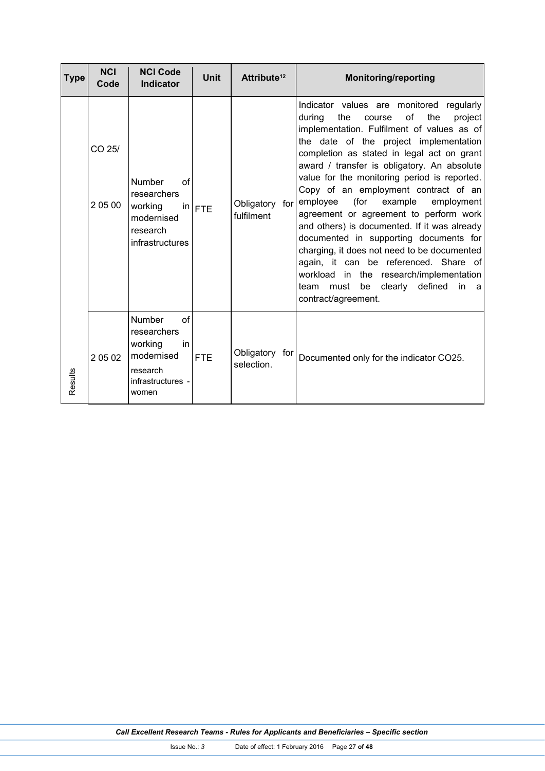| <b>Type</b> | <b>NCI</b><br>Code | <b>NCI Code</b><br><b>Indicator</b>                                                                  | <b>Unit</b> | Attribute <sup>12</sup>      | <b>Monitoring/reporting</b>                                                                                                                                                                                                                                                                                                                                                                                                                                                                                                                                                                                                                                                                                                                                       |
|-------------|--------------------|------------------------------------------------------------------------------------------------------|-------------|------------------------------|-------------------------------------------------------------------------------------------------------------------------------------------------------------------------------------------------------------------------------------------------------------------------------------------------------------------------------------------------------------------------------------------------------------------------------------------------------------------------------------------------------------------------------------------------------------------------------------------------------------------------------------------------------------------------------------------------------------------------------------------------------------------|
|             | CO 25/<br>2 05 00  | <b>Number</b><br>of<br>researchers<br>working<br>modernised<br>research<br>infrastructures           | $in$ $FTE$  | Obligatory for<br>fulfilment | Indicator values are monitored regularly<br>of<br>the<br>during<br>the<br>project<br>course<br>implementation. Fulfilment of values as of<br>the date of the project implementation<br>completion as stated in legal act on grant<br>award / transfer is obligatory. An absolute<br>value for the monitoring period is reported.<br>Copy of an employment contract of an<br>(for<br>employee<br>example<br>employment<br>agreement or agreement to perform work<br>and others) is documented. If it was already<br>documented in supporting documents for<br>charging, it does not need to be documented<br>again, it can be referenced. Share of<br>workload in the research/implementation<br>be clearly defined<br>team must<br>in<br>a<br>contract/agreement. |
| Results     | 20502              | Number<br>of<br>researchers<br>working<br>in<br>modernised<br>research<br>infrastructures -<br>women | <b>FTE</b>  | Obligatory for<br>selection. | Documented only for the indicator CO25.                                                                                                                                                                                                                                                                                                                                                                                                                                                                                                                                                                                                                                                                                                                           |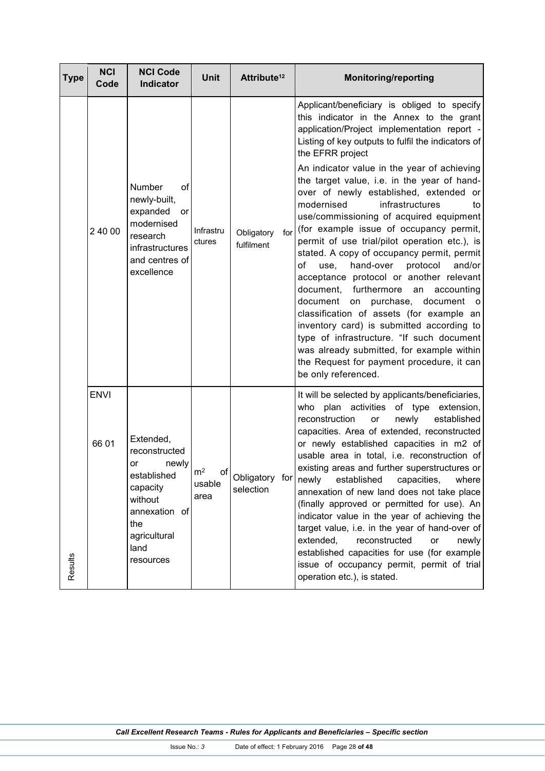| Type    | <b>NCI</b><br>Code   | <b>NCI Code</b><br><b>Indicator</b>                                                                                                          | <b>Unit</b>                            | Attribute <sup>12</sup>           | <b>Monitoring/reporting</b>                                                                                                                                                                                                                                                                                                                                                                                                                                                                                                                                                                                                                                                                                                                                                                                                                                                                                                                                                                                                          |
|---------|----------------------|----------------------------------------------------------------------------------------------------------------------------------------------|----------------------------------------|-----------------------------------|--------------------------------------------------------------------------------------------------------------------------------------------------------------------------------------------------------------------------------------------------------------------------------------------------------------------------------------------------------------------------------------------------------------------------------------------------------------------------------------------------------------------------------------------------------------------------------------------------------------------------------------------------------------------------------------------------------------------------------------------------------------------------------------------------------------------------------------------------------------------------------------------------------------------------------------------------------------------------------------------------------------------------------------|
| Results | 2 40 00              | Number<br>οf<br>newly-built,<br>expanded<br>or<br>modernised<br>research<br>infrastructures<br>and centres of<br>excellence                  | Infrastru<br>ctures                    | Obligatory<br>for<br>fulfilment   | Applicant/beneficiary is obliged to specify<br>this indicator in the Annex to the grant<br>application/Project implementation report -<br>Listing of key outputs to fulfil the indicators of<br>the EFRR project<br>An indicator value in the year of achieving<br>the target value, i.e. in the year of hand-<br>over of newly established, extended or<br>modernised<br>infrastructures<br>to<br>use/commissioning of acquired equipment<br>(for example issue of occupancy permit,<br>permit of use trial/pilot operation etc.), is<br>stated. A copy of occupancy permit, permit<br>of<br>hand-over<br>protocol<br>and/or<br>use,<br>acceptance protocol or another relevant<br>document, furthermore<br>an<br>accounting<br>document on<br>purchase, document<br>$\circ$<br>classification of assets (for example an<br>inventory card) is submitted according to<br>type of infrastructure. "If such document<br>was already submitted, for example within<br>the Request for payment procedure, it can<br>be only referenced. |
|         | <b>ENVI</b><br>66 01 | Extended,<br>reconstructed<br>newly<br>or<br>established<br>capacity<br>without<br>annexation of<br>the<br>agricultural<br>land<br>resources | $\mathsf{m}^2$<br>of<br>usable<br>area | Obligatory for newly<br>selection | It will be selected by applicants/beneficiaries,<br>plan activities of type<br>who<br>extension,<br>reconstruction<br>newly<br>established<br>or<br>capacities. Area of extended, reconstructed<br>or newly established capacities in m2 of<br>usable area in total, i.e. reconstruction of<br>existing areas and further superstructures or<br>established<br>capacities,<br>where<br>annexation of new land does not take place<br>(finally approved or permitted for use). An<br>indicator value in the year of achieving the<br>target value, i.e. in the year of hand-over of<br>reconstructed<br>extended,<br>or<br>newly<br>established capacities for use (for example<br>issue of occupancy permit, permit of trial<br>operation etc.), is stated.                                                                                                                                                                                                                                                                          |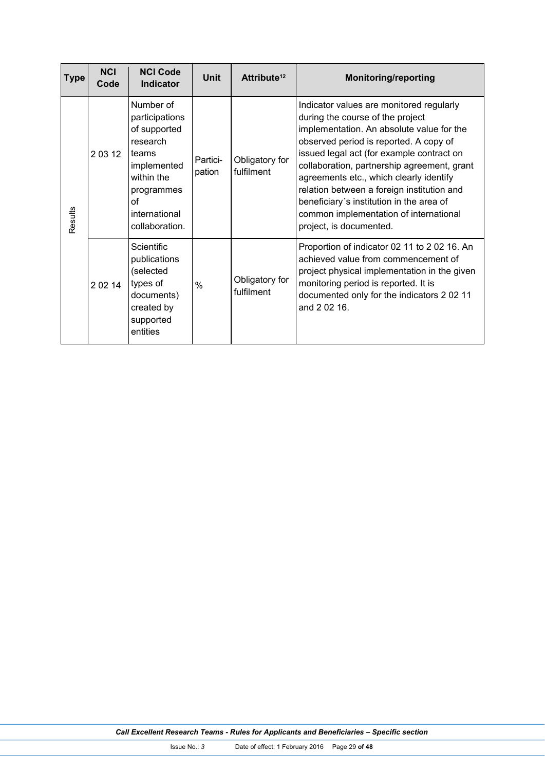| <b>Type</b> | <b>NCI</b><br>Code | <b>NCI Code</b><br><b>Indicator</b>                                                                                                                  | Unit               | Attribute <sup>12</sup>      | <b>Monitoring/reporting</b>                                                                                                                                                                                                                                                                                                                                                                                                                                               |
|-------------|--------------------|------------------------------------------------------------------------------------------------------------------------------------------------------|--------------------|------------------------------|---------------------------------------------------------------------------------------------------------------------------------------------------------------------------------------------------------------------------------------------------------------------------------------------------------------------------------------------------------------------------------------------------------------------------------------------------------------------------|
| Results     | 20312              | Number of<br>participations<br>of supported<br>research<br>teams<br>implemented<br>within the<br>programmes<br>Ωf<br>international<br>collaboration. | Partici-<br>pation | Obligatory for<br>fulfilment | Indicator values are monitored regularly<br>during the course of the project<br>implementation. An absolute value for the<br>observed period is reported. A copy of<br>issued legal act (for example contract on<br>collaboration, partnership agreement, grant<br>agreements etc., which clearly identify<br>relation between a foreign institution and<br>beneficiary's institution in the area of<br>common implementation of international<br>project, is documented. |
|             | 2 0 2 14           | <b>Scientific</b><br>publications<br>(selected<br>types of<br>documents)<br>created by<br>supported<br>entities                                      | $\frac{0}{0}$      | Obligatory for<br>fulfilment | Proportion of indicator 02 11 to 2 02 16. An<br>achieved value from commencement of<br>project physical implementation in the given<br>monitoring period is reported. It is<br>documented only for the indicators 2 02 11<br>and 2 02 16.                                                                                                                                                                                                                                 |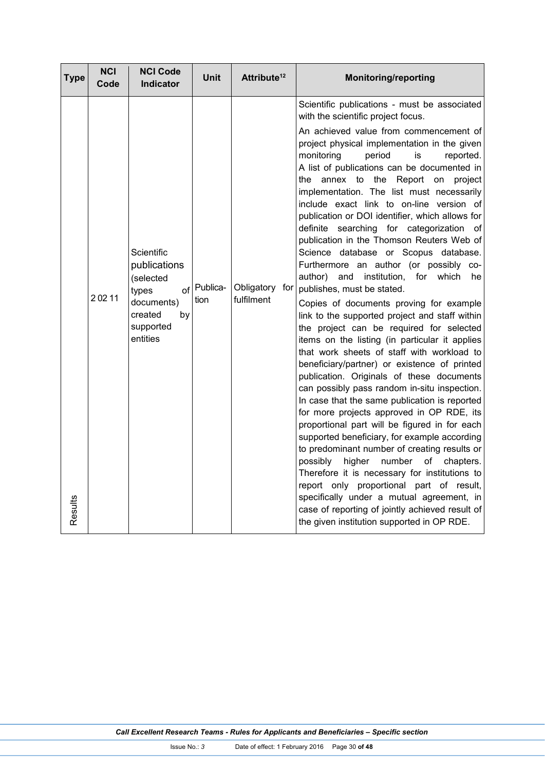| <b>Type</b> | <b>NCI</b><br>Code | <b>NCI Code</b><br><b>Indicator</b>                                                                      | Unit                | Attribute <sup>12</sup>      | <b>Monitoring/reporting</b>                                                                                                                                                                                                                                                                                                                                                                                                                                                                                                                                                                                                                                                                                                                                                                                                                                                                                                                                                                                                                                                                                                                                                                                                                                                                                                                                                                                                                                                                                                                                                                                                                                  |
|-------------|--------------------|----------------------------------------------------------------------------------------------------------|---------------------|------------------------------|--------------------------------------------------------------------------------------------------------------------------------------------------------------------------------------------------------------------------------------------------------------------------------------------------------------------------------------------------------------------------------------------------------------------------------------------------------------------------------------------------------------------------------------------------------------------------------------------------------------------------------------------------------------------------------------------------------------------------------------------------------------------------------------------------------------------------------------------------------------------------------------------------------------------------------------------------------------------------------------------------------------------------------------------------------------------------------------------------------------------------------------------------------------------------------------------------------------------------------------------------------------------------------------------------------------------------------------------------------------------------------------------------------------------------------------------------------------------------------------------------------------------------------------------------------------------------------------------------------------------------------------------------------------|
| Results     | 20211              | Scientific<br>publications<br>(selected<br>types<br>documents)<br>created<br>by<br>supported<br>entities | of Publica-<br>tion | Obligatory for<br>fulfilment | Scientific publications - must be associated<br>with the scientific project focus.<br>An achieved value from commencement of<br>project physical implementation in the given<br>monitoring<br>period<br>is<br>reported.<br>A list of publications can be documented in<br>the annex to the<br>Report<br>on<br>project<br>implementation. The list must necessarily<br>include exact link to on-line version of<br>publication or DOI identifier, which allows for<br>definite searching for categorization<br>οf<br>publication in the Thomson Reuters Web of<br>Science database or Scopus database.<br>Furthermore an author (or possibly co-<br>author) and institution, for which<br>he<br>publishes, must be stated.<br>Copies of documents proving for example<br>link to the supported project and staff within<br>the project can be required for selected<br>items on the listing (in particular it applies<br>that work sheets of staff with workload to<br>beneficiary/partner) or existence of printed<br>publication. Originals of these documents<br>can possibly pass random in-situ inspection.<br>In case that the same publication is reported<br>for more projects approved in OP RDE, its<br>proportional part will be figured in for each<br>supported beneficiary, for example according<br>to predominant number of creating results or<br>higher<br>number<br>possibly<br>of<br>chapters.<br>Therefore it is necessary for institutions to<br>report only proportional part of result,<br>specifically under a mutual agreement, in<br>case of reporting of jointly achieved result of<br>the given institution supported in OP RDE. |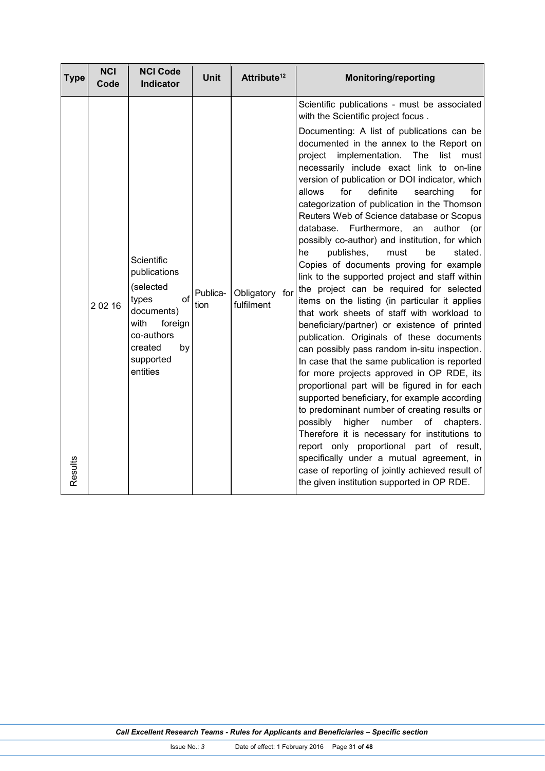| <b>Type</b> | <b>NCI</b><br>Code | <b>NCI Code</b><br><b>Indicator</b>                                                                                                                     | <b>Unit</b>      | Attribute <sup>12</sup>      | <b>Monitoring/reporting</b>                                                                                                                                                                                                                                                                                                                                                                                                                                                                                                                                                                                                                                                                                                                                                                                                                                                                                                                                                                                                                                                                                                                                                                                                                                                                                                                                                                                                                                                                                                                                       |
|-------------|--------------------|---------------------------------------------------------------------------------------------------------------------------------------------------------|------------------|------------------------------|-------------------------------------------------------------------------------------------------------------------------------------------------------------------------------------------------------------------------------------------------------------------------------------------------------------------------------------------------------------------------------------------------------------------------------------------------------------------------------------------------------------------------------------------------------------------------------------------------------------------------------------------------------------------------------------------------------------------------------------------------------------------------------------------------------------------------------------------------------------------------------------------------------------------------------------------------------------------------------------------------------------------------------------------------------------------------------------------------------------------------------------------------------------------------------------------------------------------------------------------------------------------------------------------------------------------------------------------------------------------------------------------------------------------------------------------------------------------------------------------------------------------------------------------------------------------|
| Results     | 2 0 2 16           | Scientific<br>publications<br>(selected<br>$\alpha$ f<br>types<br>documents)<br>with<br>foreign<br>co-authors<br>created<br>by<br>supported<br>entities | Publica-<br>tion | Obligatory for<br>fulfilment | Scientific publications - must be associated<br>with the Scientific project focus.<br>Documenting: A list of publications can be<br>documented in the annex to the Report on<br>implementation.<br>The<br>project<br>list<br>must<br>necessarily include exact link to on-line<br>version of publication or DOI indicator, which<br>definite<br>allows<br>for<br>searching<br>for<br>categorization of publication in the Thomson<br>Reuters Web of Science database or Scopus<br>database. Furthermore,<br>author<br>an<br>(or<br>possibly co-author) and institution, for which<br>publishes,<br>he<br>must<br>be<br>stated.<br>Copies of documents proving for example<br>link to the supported project and staff within<br>the project can be required for selected<br>items on the listing (in particular it applies<br>that work sheets of staff with workload to<br>beneficiary/partner) or existence of printed<br>publication. Originals of these documents<br>can possibly pass random in-situ inspection.<br>In case that the same publication is reported<br>for more projects approved in OP RDE, its<br>proportional part will be figured in for each<br>supported beneficiary, for example according<br>to predominant number of creating results or<br>possibly<br>higher<br>number<br>of<br>chapters.<br>Therefore it is necessary for institutions to<br>report only proportional part of result,<br>specifically under a mutual agreement, in<br>case of reporting of jointly achieved result of<br>the given institution supported in OP RDE. |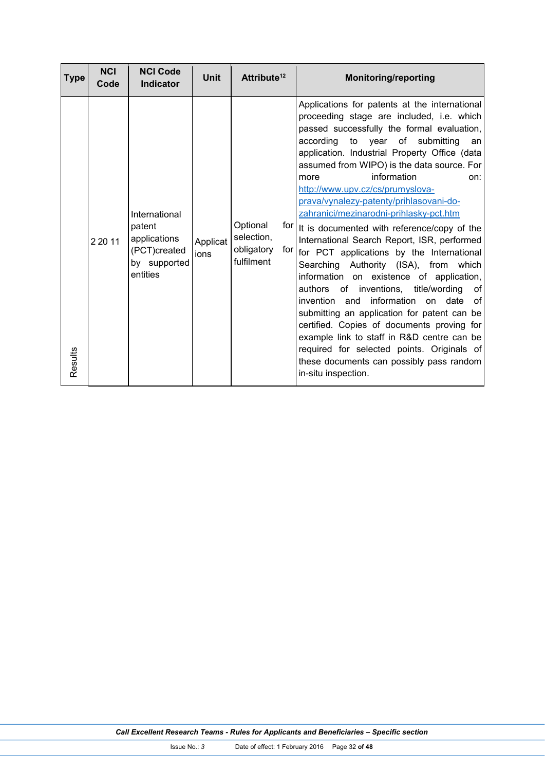| <b>Type</b> | <b>NCI</b><br>Code | <b>NCI Code</b><br><b>Indicator</b>                                                 | <b>Unit</b>      | Attribute <sup>12</sup>                                   | <b>Monitoring/reporting</b>                                                                                                                                                                                                                                                                                                                                                                                                                                                                                                                                                                                                                                                                                                                                                                                                                                                                                                                                                                                                                      |
|-------------|--------------------|-------------------------------------------------------------------------------------|------------------|-----------------------------------------------------------|--------------------------------------------------------------------------------------------------------------------------------------------------------------------------------------------------------------------------------------------------------------------------------------------------------------------------------------------------------------------------------------------------------------------------------------------------------------------------------------------------------------------------------------------------------------------------------------------------------------------------------------------------------------------------------------------------------------------------------------------------------------------------------------------------------------------------------------------------------------------------------------------------------------------------------------------------------------------------------------------------------------------------------------------------|
| Results     | 2 2 0 11           | International<br>patent<br>applications<br>(PCT)created<br>by supported<br>entities | Applicat<br>ions | Optional<br>selection,<br>obligatory<br>for<br>fulfilment | Applications for patents at the international<br>proceeding stage are included, i.e. which<br>passed successfully the formal evaluation,<br>according to year of submitting<br>an<br>application. Industrial Property Office (data<br>assumed from WIPO) is the data source. For<br>information<br>more<br>on:<br>http://www.upv.cz/cs/prumyslova-<br>prava/vynalezy-patenty/prihlasovani-do-<br>zahranici/mezinarodni-prihlasky-pct.htm<br>for   It is documented with reference/copy of the<br>International Search Report, ISR, performed<br>for PCT applications by the International<br>Searching Authority (ISA), from which<br>information on existence of application,<br>of<br>authors of inventions, title/wording<br><b>of</b><br>invention<br>information on date<br>and<br>submitting an application for patent can be<br>certified. Copies of documents proving for<br>example link to staff in R&D centre can be<br>required for selected points. Originals of<br>these documents can possibly pass random<br>in-situ inspection. |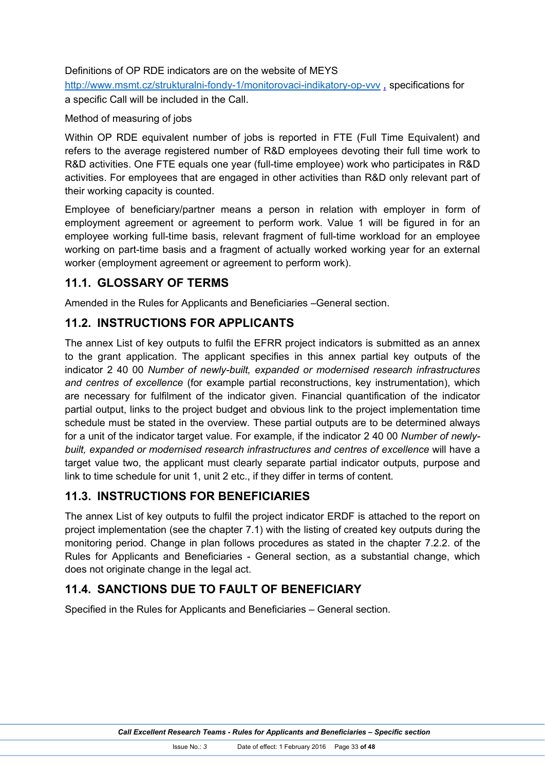Definitions of OP RDE indicators are on the website of MEYS

http://www.msmt.cz/strukturalni-fondy-1/monitorovaci-indikatory-op-vvv , specifications for a specific Call will be included in the Call.

#### Method of measuring of jobs

Within OP RDE equivalent number of jobs is reported in FTE (Full Time Equivalent) and refers to the average registered number of R&D employees devoting their full time work to R&D activities. One FTE equals one year (full-time employee) work who participates in R&D activities. For employees that are engaged in other activities than R&D only relevant part of their working capacity is counted.

Employee of beneficiary/partner means a person in relation with employer in form of employment agreement or agreement to perform work. Value 1 will be figured in for an employee working full-time basis, relevant fragment of full-time workload for an employee working on part-time basis and a fragment of actually worked working year for an external worker (employment agreement or agreement to perform work).

## **11.1. GLOSSARY OF TERMS**

Amended in the Rules for Applicants and Beneficiaries –General section.

## **11.2. INSTRUCTIONS FOR APPLICANTS**

The annex List of key outputs to fulfil the EFRR project indicators is submitted as an annex to the grant application. The applicant specifies in this annex partial key outputs of the indicator 2 40 00 *Number of newly-built, expanded or modernised research infrastructures and centres of excellence* (for example partial reconstructions, key instrumentation), which are necessary for fulfilment of the indicator given. Financial quantification of the indicator partial output, links to the project budget and obvious link to the project implementation time schedule must be stated in the overview. These partial outputs are to be determined always for a unit of the indicator target value. For example, if the indicator 2 40 00 *Number of newlybuilt, expanded or modernised research infrastructures and centres of excellence* will have a target value two, the applicant must clearly separate partial indicator outputs, purpose and link to time schedule for unit 1, unit 2 etc., if they differ in terms of content.

## **11.3. INSTRUCTIONS FOR BENEFICIARIES**

The annex List of key outputs to fulfil the project indicator ERDF is attached to the report on project implementation (see the chapter 7.1) with the listing of created key outputs during the monitoring period. Change in plan follows procedures as stated in the chapter 7.2.2. of the Rules for Applicants and Beneficiaries - General section, as a substantial change, which does not originate change in the legal act.

## **11.4. SANCTIONS DUE TO FAULT OF BENEFICIARY**

Specified in the Rules for Applicants and Beneficiaries – General section.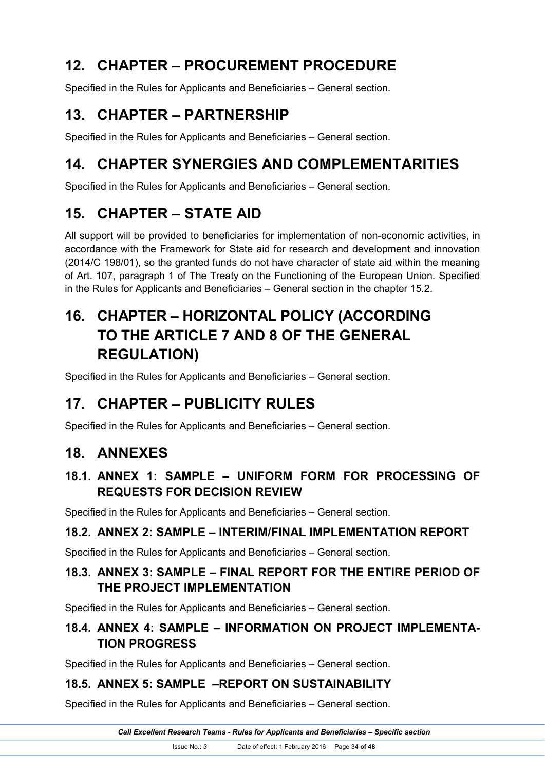# **12. CHAPTER – PROCUREMENT PROCEDURE**

Specified in the Rules for Applicants and Beneficiaries – General section.

# **13. CHAPTER – PARTNERSHIP**

Specified in the Rules for Applicants and Beneficiaries – General section.

# **14. CHAPTER SYNERGIES AND COMPLEMENTARITIES**

Specified in the Rules for Applicants and Beneficiaries – General section.

# **15. CHAPTER – STATE AID**

All support will be provided to beneficiaries for implementation of non-economic activities, in accordance with the Framework for State aid for research and development and innovation (2014/C 198/01), so the granted funds do not have character of state aid within the meaning of Art. 107, paragraph 1 of The Treaty on the Functioning of the European Union. Specified in the Rules for Applicants and Beneficiaries – General section in the chapter 15.2.

# **16. CHAPTER – HORIZONTAL POLICY (ACCORDING TO THE ARTICLE 7 AND 8 OF THE GENERAL REGULATION)**

Specified in the Rules for Applicants and Beneficiaries – General section.

# **17. CHAPTER – PUBLICITY RULES**

Specified in the Rules for Applicants and Beneficiaries – General section.

## **18. ANNEXES**

## **18.1. ANNEX 1: SAMPLE – UNIFORM FORM FOR PROCESSING OF REQUESTS FOR DECISION REVIEW**

Specified in the Rules for Applicants and Beneficiaries – General section.

## **18.2. ANNEX 2: SAMPLE – INTERIM/FINAL IMPLEMENTATION REPORT**

Specified in the Rules for Applicants and Beneficiaries – General section.

## **18.3. ANNEX 3: SAMPLE – FINAL REPORT FOR THE ENTIRE PERIOD OF THE PROJECT IMPLEMENTATION**

Specified in the Rules for Applicants and Beneficiaries – General section.

## **18.4. ANNEX 4: SAMPLE – INFORMATION ON PROJECT IMPLEMENTA-TION PROGRESS**

Specified in the Rules for Applicants and Beneficiaries – General section.

## **18.5. ANNEX 5: SAMPLE –REPORT ON SUSTAINABILITY**

Specified in the Rules for Applicants and Beneficiaries – General section.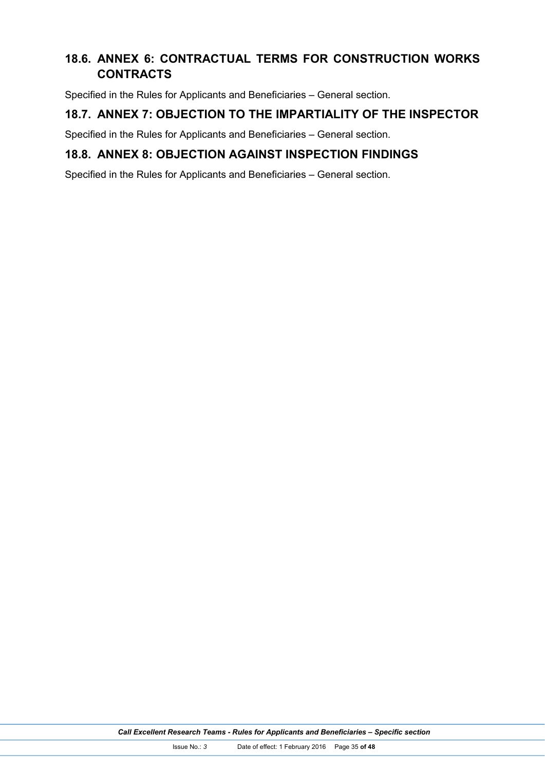## **18.6. ANNEX 6: CONTRACTUAL TERMS FOR CONSTRUCTION WORKS CONTRACTS**

Specified in the Rules for Applicants and Beneficiaries – General section.

#### **18.7. ANNEX 7: OBJECTION TO THE IMPARTIALITY OF THE INSPECTOR**

Specified in the Rules for Applicants and Beneficiaries – General section.

#### **18.8. ANNEX 8: OBJECTION AGAINST INSPECTION FINDINGS**

Specified in the Rules for Applicants and Beneficiaries – General section.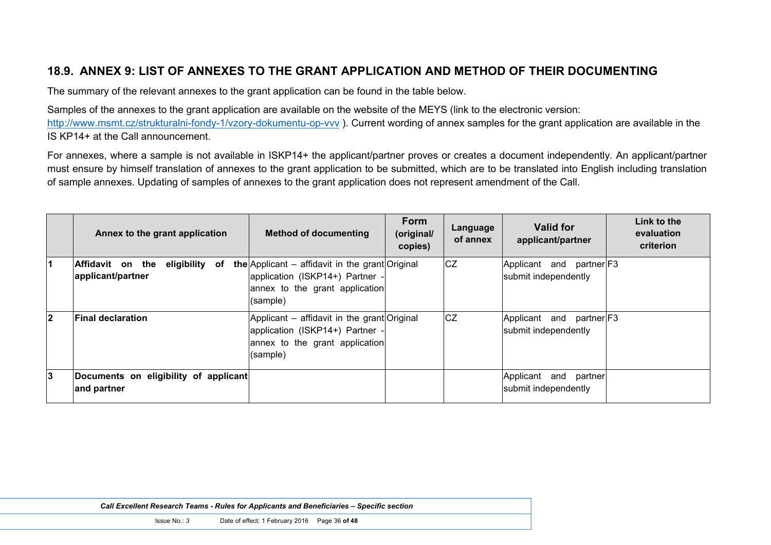## **18.9. ANNEX 9: LIST OF ANNEXES TO THE GRANT APPLICATION AND METHOD OF THEIR DOCUMENTING**

The summary of the relevant annexes to the grant application can be found in the table below.

Samples of the annexes to the grant application are available on the website of the MEYS (link to the electronic version:

http://www.msmt.cz/strukturalni-fondy-1/vzory-dokumentu-op-vvv). Current wording of annex samples for the grant application are available in the IS KP14+ at the Call announcement.

For annexes, where a sample is not available in ISKP14+ the applicant/partner proves or creates a document independently. An applicant/partner must ensure by himself translation of annexes to the grant application to be submitted, which are to be translated into English including translation of sample annexes. Updating of samples of annexes to the grant application does not represent amendment of the Call.

|                         | Annex to the grant application                             | <b>Method of documenting</b>                                                                                                            | Form<br>(original/<br>copies) | Language<br>of annex | Valid for<br>applicant/partner                      | Link to the<br>evaluation<br>criterion |
|-------------------------|------------------------------------------------------------|-----------------------------------------------------------------------------------------------------------------------------------------|-------------------------------|----------------------|-----------------------------------------------------|----------------------------------------|
| $\blacksquare$          | eligibility<br>Affidavit on the<br>оf<br>applicant/partner | <b>the</b> Applicant – affidavit in the grant Original<br>application (ISKP14+) Partner -<br>annex to the grant application<br>(sample) |                               | <b>CZ</b>            | Applicant and partner F3<br>submit independently    |                                        |
| $\overline{\mathbf{2}}$ | <b>Final declaration</b>                                   | Applicant – affidavit in the grant Original<br>application (ISKP14+) Partner -<br>annex to the grant application<br>(sample)            |                               | <b>CZ</b>            | Applicant and partner F3<br>submit independently    |                                        |
| 3                       | Documents on eligibility of applicant<br>and partner       |                                                                                                                                         |                               |                      | Applicant<br>partner<br>and<br>submit independently |                                        |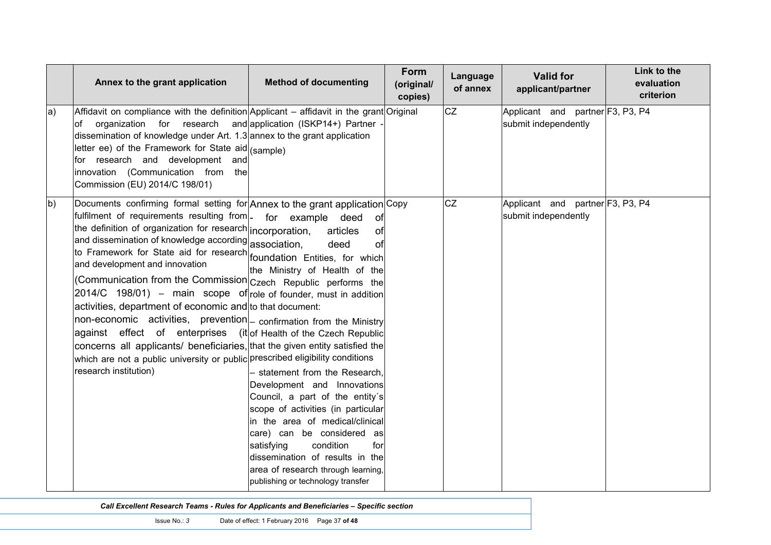|              | Annex to the grant application                                                                                                                                                                                                                                                                                                                                                                                                                                                                                                                                                                                                                                                                                                                                                                                                                                                                                                     | <b>Method of documenting</b>                                                                                                                                                                                                                                                                                                                                                                                                   | Form<br>(original/<br>copies) | Language<br>of annex | <b>Valid for</b><br>applicant/partner                    | Link to the<br>evaluation<br>criterion |
|--------------|------------------------------------------------------------------------------------------------------------------------------------------------------------------------------------------------------------------------------------------------------------------------------------------------------------------------------------------------------------------------------------------------------------------------------------------------------------------------------------------------------------------------------------------------------------------------------------------------------------------------------------------------------------------------------------------------------------------------------------------------------------------------------------------------------------------------------------------------------------------------------------------------------------------------------------|--------------------------------------------------------------------------------------------------------------------------------------------------------------------------------------------------------------------------------------------------------------------------------------------------------------------------------------------------------------------------------------------------------------------------------|-------------------------------|----------------------|----------------------------------------------------------|----------------------------------------|
| a)           | Affidavit on compliance with the definition Applicant – affidavit in the grant Original<br>organization for research and application (ISKP14+) Partner<br>of<br>dissemination of knowledge under Art. 1.3 annex to the grant application<br>letter ee) of the Framework for State aid (sample)<br>for research and development and<br>innovation (Communication from<br>the<br>Commission (EU) 2014/C 198/01)                                                                                                                                                                                                                                                                                                                                                                                                                                                                                                                      |                                                                                                                                                                                                                                                                                                                                                                                                                                |                               | <b>CZ</b>            | Applicant and partner F3, P3, P4<br>submit independently |                                        |
| <sub>b</sub> | Documents confirming formal setting for Annex to the grant application Copy<br>fulfilment of requirements resulting from - for example deed<br>the definition of organization for research incorporation,<br>and dissemination of knowledge according association,<br>to Framework for State aid for research foundation Entities, for which<br>and development and innovation<br>(Communication from the Commission <sub>Czech</sub> Republic performs the<br>$2014/C$ 198/01) – main scope of role of founder, must in addition<br>activities, department of economic and to that document:<br>non-economic activities, prevention  confirmation from the Ministry<br>against effect of enterprises (it of Health of the Czech Republic<br>concerns all applicants/ beneficiaries, that the given entity satisfied the<br>which are not a public university or public prescribed eligibility conditions<br>research institution) | of<br>articles<br>of<br>deed<br>οf<br>the Ministry of Health of the<br>- statement from the Research,<br>Development and Innovations<br>Council, a part of the entity's<br>scope of activities (in particular<br>in the area of medical/clinical<br>care) can be considered as<br>condition<br>satisfying<br>for<br>dissemination of results in the<br>area of research through learning,<br>publishing or technology transfer |                               | <b>CZ</b>            | Applicant and partner F3, P3, P4<br>submit independently |                                        |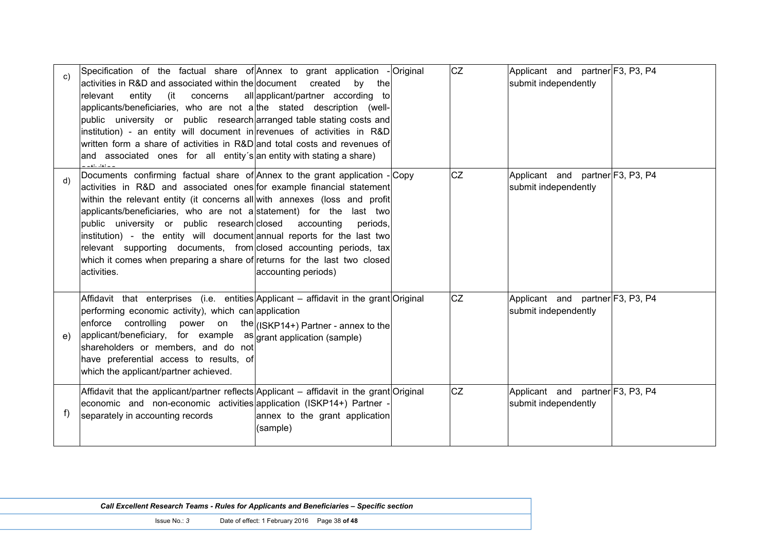| C) | Specification of the factual share of Annex to grant application - Original<br>activities in R&D and associated within the document created<br>relevant<br>entity<br>(it concerns<br>applicants/beneficiaries, who are not a the stated description (well-<br>public university or public research arranged table stating costs and<br>institution) - an entity will document in revenues of activities in R&D<br>written form a share of activities in R&D and total costs and revenues of<br>and associated ones for all entity's an entity with stating a share)                                            | by the<br>all applicant/partner according to | <b>CZ</b> | Applicant and partner F3, P3, P4<br>submit independently |  |
|----|----------------------------------------------------------------------------------------------------------------------------------------------------------------------------------------------------------------------------------------------------------------------------------------------------------------------------------------------------------------------------------------------------------------------------------------------------------------------------------------------------------------------------------------------------------------------------------------------------------------|----------------------------------------------|-----------|----------------------------------------------------------|--|
| d) | Documents confirming factual share of Annex to the grant application - Copy<br>activities in R&D and associated ones for example financial statement<br>within the relevant entity (it concerns all with annexes (loss and profit<br>applicants/beneficiaries, who are not a statement) for the last two<br>public university or public research closed accounting<br>institution) - the entity will document annual reports for the last two<br>relevant supporting documents, from closed accounting periods, tax<br>which it comes when preparing a share of returns for the last two closed<br>activities. | periods.<br>accounting periods)              | <b>CZ</b> | Applicant and partner F3, P3, P4<br>submit independently |  |
| e  | Affidavit that enterprises (i.e. entities Applicant – affidavit in the grant Original<br>performing economic activity), which can application<br>$ $ enforce controlling power on the $ $ (ISKP14+) Partner - annex to the<br>applicant/beneficiary, for example as grant application (sample)<br>shareholders or members, and do not<br>have preferential access to results, of<br>which the applicant/partner achieved.                                                                                                                                                                                      |                                              | CZ        | Applicant and partner F3, P3, P4<br>submit independently |  |
| f) | Affidavit that the applicant/partner reflects Applicant – affidavit in the grant Original<br>economic and non-economic activities application (ISKP14+) Partner -<br>separately in accounting records                                                                                                                                                                                                                                                                                                                                                                                                          | annex to the grant application<br>(sample)   | <b>CZ</b> | Applicant and partner F3, P3, P4<br>submit independently |  |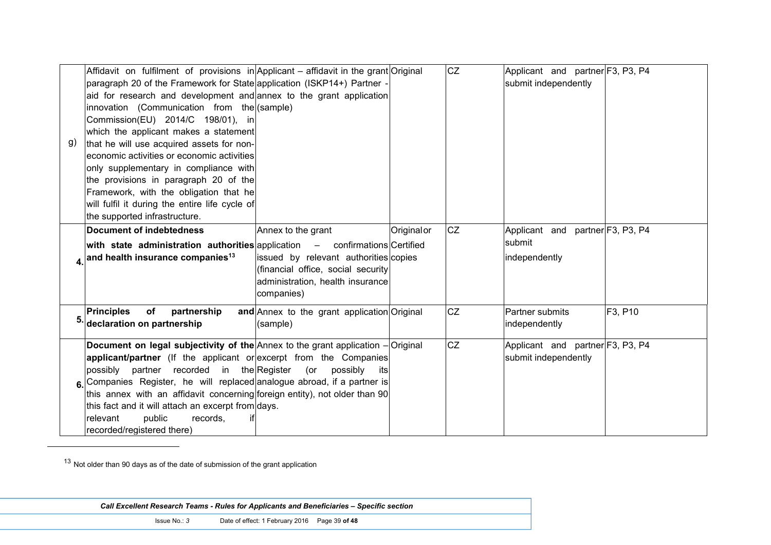| g) | Affidavit on fulfilment of provisions in Applicant – affidavit in the grant Original<br>paragraph 20 of the Framework for State application (ISKP14+) Partner -<br>aid for research and development and annex to the grant application<br>innovation (Communication from the (sample)<br>Commission(EU) 2014/C 198/01), in<br>which the applicant makes a statement<br>that he will use acquired assets for non-<br>economic activities or economic activities<br>only supplementary in compliance with<br>the provisions in paragraph 20 of the<br>Framework, with the obligation that he<br>will fulfil it during the entire life cycle of<br>the supported infrastructure. |                                                                                                                                                     |            | CZ | Applicant and partner F3, P3, P4<br>submit independently    |         |
|----|-------------------------------------------------------------------------------------------------------------------------------------------------------------------------------------------------------------------------------------------------------------------------------------------------------------------------------------------------------------------------------------------------------------------------------------------------------------------------------------------------------------------------------------------------------------------------------------------------------------------------------------------------------------------------------|-----------------------------------------------------------------------------------------------------------------------------------------------------|------------|----|-------------------------------------------------------------|---------|
|    | Document of indebtedness<br>with state administration authorities application $-$ confirmations Certified<br>4. and health insurance companies <sup>13</sup>                                                                                                                                                                                                                                                                                                                                                                                                                                                                                                                  | Annex to the grant<br>issued by relevant authorities copies<br>(financial office, social security<br>administration, health insurance<br>companies) | Originalor | CZ | Applicant and partner F3, P3, P4<br>submit<br>independently |         |
|    | of<br>partnership<br><b>Principles</b><br>declaration on partnership                                                                                                                                                                                                                                                                                                                                                                                                                                                                                                                                                                                                          | and Annex to the grant application Original<br>(sample)                                                                                             |            | CZ | Partner submits<br>independently                            | F3, P10 |
|    | Document on legal subjectivity of the $Annext$ to the grant application $-$ Original<br>applicant/partner (If the applicant or excerpt from the Companies<br>possibly partner recorded in the Register (or possibly<br>6. Companies Register, he will replaced analogue abroad, if a partner is<br>this annex with an affidavit concerning foreign entity), not older than 90<br>this fact and it will attach an excerpt from days.<br>public<br>relevant<br>records,<br>recorded/registered there)                                                                                                                                                                           | its                                                                                                                                                 |            | CZ | Applicant and partner F3, P3, P4<br>submit independently    |         |

 $13$  Not older than 90 days as of the date of submission of the grant application

-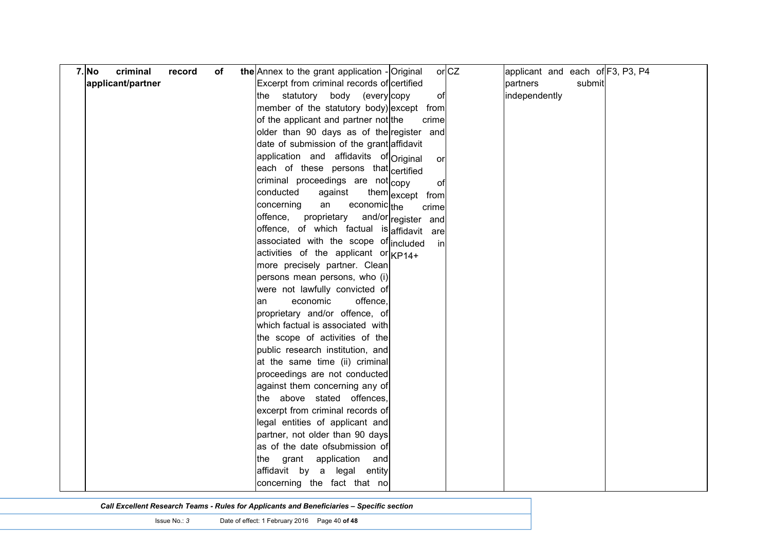| $7.$ No<br>criminal<br>of<br>record | $or$ CZ<br>the Annex to the grant application - Original | applicant and each of F3, P3, P4 |
|-------------------------------------|----------------------------------------------------------|----------------------------------|
| applicant/partner                   | Excerpt from criminal records of certified               | partners<br>submit               |
|                                     | the statutory body (every copy<br>of                     | independently                    |
|                                     | member of the statutory body) except from                |                                  |
|                                     | of the applicant and partner not the<br>crime            |                                  |
|                                     | older than 90 days as of the register and                |                                  |
|                                     | date of submission of the grant affidavit                |                                  |
|                                     | application and affidavits of Original<br>or             |                                  |
|                                     | each of these persons that certified                     |                                  |
|                                     | criminal proceedings are not copy<br>οf                  |                                  |
|                                     | conducted<br>against<br>them except from                 |                                  |
|                                     | an<br>concerning<br>economic <sub>the</sub><br>crime     |                                  |
|                                     | offence,<br>proprietary<br>and/or register and           |                                  |
|                                     | offence, of which factual is affidavit are               |                                  |
|                                     | associated with the scope of included<br>in              |                                  |
|                                     | activities of the applicant or $Kp14+$                   |                                  |
|                                     | more precisely partner. Clean                            |                                  |
|                                     | persons mean persons, who (i)                            |                                  |
|                                     | were not lawfully convicted of                           |                                  |
|                                     | economic<br>offence,<br>an                               |                                  |
|                                     | proprietary and/or offence, of                           |                                  |
|                                     | which factual is associated with                         |                                  |
|                                     | the scope of activities of the                           |                                  |
|                                     | public research institution, and                         |                                  |
|                                     | at the same time (ii) criminal                           |                                  |
|                                     | proceedings are not conducted                            |                                  |
|                                     | against them concerning any of                           |                                  |
|                                     | the above stated offences,                               |                                  |
|                                     | excerpt from criminal records of                         |                                  |
|                                     | legal entities of applicant and                          |                                  |
|                                     | partner, not older than 90 days                          |                                  |
|                                     | as of the date ofsubmission of                           |                                  |
|                                     | the grant<br>application<br>and                          |                                  |
|                                     | affidavit by a legal entity                              |                                  |
|                                     | concerning the fact that no                              |                                  |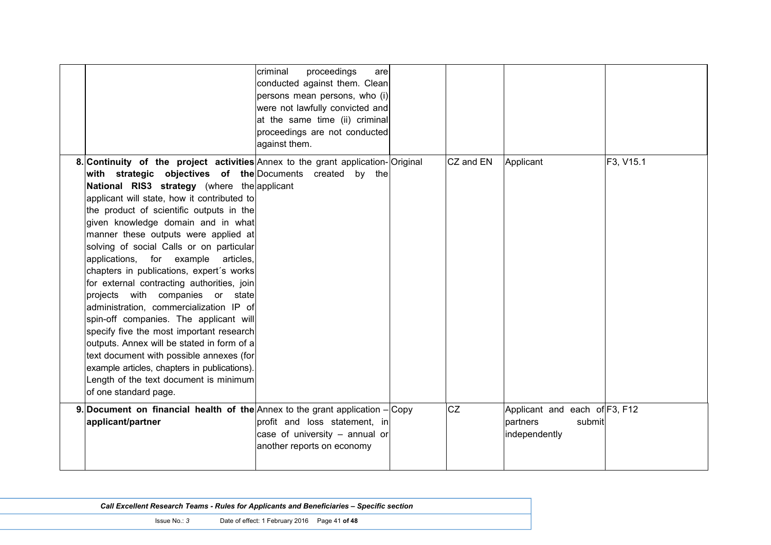|                                                                                                                                                                                                                                                                                                                                                                                                                                                                                                                                                                                                                                                                                                                                                                                                                                                                                                                                        | criminal<br>proceedings<br>are<br>conducted against them. Clean<br>persons mean persons, who (i)<br>were not lawfully convicted and<br>at the same time (ii) criminal<br>proceedings are not conducted<br>against them. |           |                                                                      |           |
|----------------------------------------------------------------------------------------------------------------------------------------------------------------------------------------------------------------------------------------------------------------------------------------------------------------------------------------------------------------------------------------------------------------------------------------------------------------------------------------------------------------------------------------------------------------------------------------------------------------------------------------------------------------------------------------------------------------------------------------------------------------------------------------------------------------------------------------------------------------------------------------------------------------------------------------|-------------------------------------------------------------------------------------------------------------------------------------------------------------------------------------------------------------------------|-----------|----------------------------------------------------------------------|-----------|
| 8. Continuity of the project activities Annex to the grant application-Original<br>with strategic objectives of the Documents created by the<br>National RIS3 strategy (where the applicant<br>applicant will state, how it contributed to<br>the product of scientific outputs in the<br>given knowledge domain and in what<br>manner these outputs were applied at<br>solving of social Calls or on particular<br>applications, for example<br>articles,<br>chapters in publications, expert's works<br>for external contracting authorities, join<br>projects with companies or state<br>administration, commercialization IP of<br>spin-off companies. The applicant will<br>specify five the most important research<br>outputs. Annex will be stated in form of a<br>text document with possible annexes (for<br>example articles, chapters in publications).<br>Length of the text document is minimum<br>of one standard page. |                                                                                                                                                                                                                         | CZ and EN | Applicant                                                            | F3, V15.1 |
| 9. Document on financial health of the $ $ Annex to the grant application $-$ Copy<br>applicant/partner                                                                                                                                                                                                                                                                                                                                                                                                                                                                                                                                                                                                                                                                                                                                                                                                                                | profit and loss statement, in<br>case of university - annual or<br>another reports on economy                                                                                                                           | <b>CZ</b> | Applicant and each of F3, F12<br>partners<br>submit<br>independently |           |

| Call Excellent Research Teams - Rules for Applicants and Beneficiaries - Specific section |                                                |  |
|-------------------------------------------------------------------------------------------|------------------------------------------------|--|
| Issue No.: 3                                                                              | Date of effect: 1 February 2016  Page 41 of 48 |  |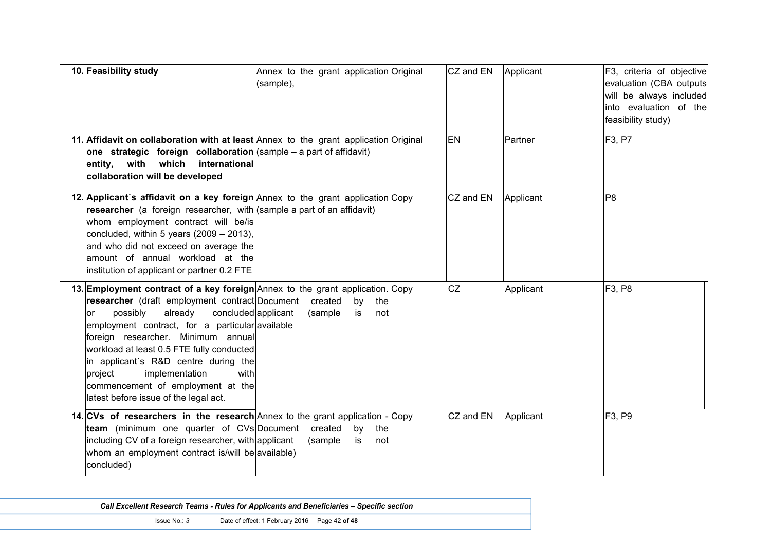| 10. Feasibility study                                                                                                                                                                                                                                                                                                                                                                                                                                                                              | Annex to the grant application Original<br>(sample), | CZ and EN | Applicant | F3, criteria of objective<br>evaluation (CBA outputs<br>will be always included<br>into evaluation of the<br>feasibility study) |
|----------------------------------------------------------------------------------------------------------------------------------------------------------------------------------------------------------------------------------------------------------------------------------------------------------------------------------------------------------------------------------------------------------------------------------------------------------------------------------------------------|------------------------------------------------------|-----------|-----------|---------------------------------------------------------------------------------------------------------------------------------|
| 11. Affidavit on collaboration with at least Annex to the grant application Original<br>one strategic foreign collaboration $ $ (sample – a part of affidavit)<br>with<br>which<br>entity,<br>international<br>collaboration will be developed                                                                                                                                                                                                                                                     |                                                      | EN        | Partner   | F <sub>3</sub> , P <sub>7</sub>                                                                                                 |
| 12. Applicant's affidavit on a key foreign Annex to the grant application Copy<br>researcher (a foreign researcher, with (sample a part of an affidavit)<br>whom employment contract will be/is<br>concluded, within 5 years $(2009 - 2013)$ ,<br>and who did not exceed on average the<br>amount of annual workload at the<br>institution of applicant or partner 0.2 FTE                                                                                                                         |                                                      | CZ and EN | Applicant | P <sub>8</sub>                                                                                                                  |
| 13. Employment contract of a key foreign Annex to the grant application. Copy<br><b>researcher</b> (draft employment contract Document<br>already<br>concluded applicant<br>possibly<br><b>or</b><br>employment contract, for a particular available<br>foreign researcher. Minimum annual<br>workload at least 0.5 FTE fully conducted<br>in applicant's R&D centre during the<br>implementation<br>with<br>project<br>commencement of employment at the<br>latest before issue of the legal act. | created<br>by<br>the<br>(sample<br>notl<br>is        | <b>CZ</b> | Applicant | F <sub>3</sub> , P <sub>8</sub>                                                                                                 |
| 14. CVs of researchers in the research Annex to the grant application - Copy<br>team (minimum one quarter of CVs Document<br>including CV of a foreign researcher, with applicant<br>whom an employment contract is/will be available)<br>concluded)                                                                                                                                                                                                                                               | created<br>the<br>by<br>(sample<br>is<br>notl        | CZ and EN | Applicant | F3, P9                                                                                                                          |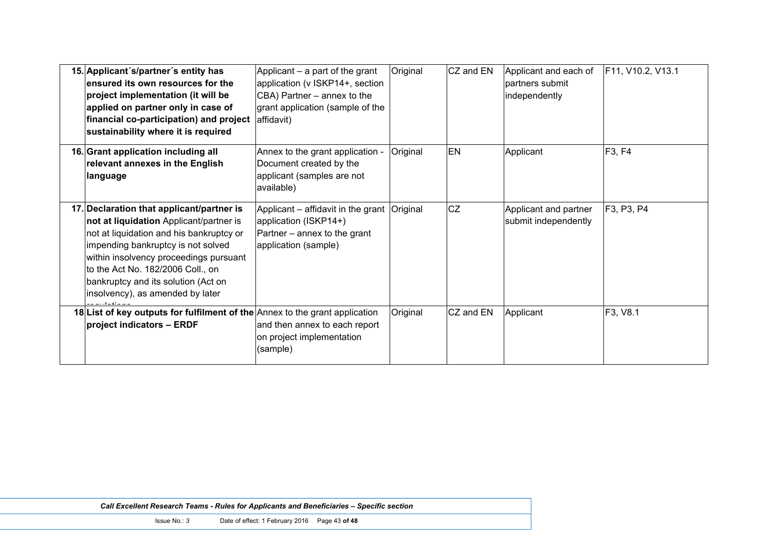| 15. Applicant's/partner's entity has<br>ensured its own resources for the<br>project implementation (it will be<br>applied on partner only in case of<br>financial co-participation) and project<br>sustainability where it is required                                                                                          | Applicant $-$ a part of the grant<br>application (v ISKP14+, section<br>CBA) Partner - annex to the<br>grant application (sample of the<br>affidavit) | Original | CZ and EN | Applicant and each of<br>partners submit<br>independently | F11, V10.2, V13.1 |
|----------------------------------------------------------------------------------------------------------------------------------------------------------------------------------------------------------------------------------------------------------------------------------------------------------------------------------|-------------------------------------------------------------------------------------------------------------------------------------------------------|----------|-----------|-----------------------------------------------------------|-------------------|
| 16. Grant application including all<br>relevant annexes in the English<br>language                                                                                                                                                                                                                                               | Annex to the grant application -<br>Document created by the<br>applicant (samples are not<br>available)                                               | Original | EN        | Applicant                                                 | F3, F4            |
| 17. Declaration that applicant/partner is<br>not at liquidation Applicant/partner is<br>not at liquidation and his bankruptcy or<br>impending bankruptcy is not solved<br>within insolvency proceedings pursuant<br>to the Act No. 182/2006 Coll., on<br>bankruptcy and its solution (Act on<br>insolvency), as amended by later | Applicant – affidavit in the grant   Original<br>application (ISKP14+)<br>Partner – annex to the grant<br>application (sample)                        |          | <b>CZ</b> | Applicant and partner<br>submit independently             | F3, P3, P4        |
| 18 List of key outputs for fulfilment of the Annex to the grant application<br>project indicators - ERDF                                                                                                                                                                                                                         | and then annex to each report<br>on project implementation<br>(sample)                                                                                | Original | CZ and EN | Applicant                                                 | F3, V8.1          |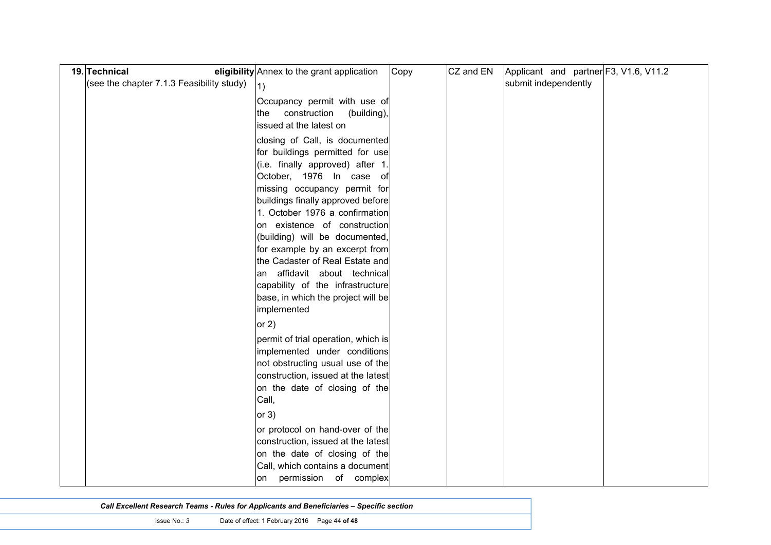| 19. Technical                             | eligibility Annex to the grant application                                                                                                                                                                                                                                                                                                                                                                                                                                                               | Copy | CZ and EN | Applicant and partner F3, V1.6, V11.2 |  |
|-------------------------------------------|----------------------------------------------------------------------------------------------------------------------------------------------------------------------------------------------------------------------------------------------------------------------------------------------------------------------------------------------------------------------------------------------------------------------------------------------------------------------------------------------------------|------|-----------|---------------------------------------|--|
| (see the chapter 7.1.3 Feasibility study) | 1)                                                                                                                                                                                                                                                                                                                                                                                                                                                                                                       |      |           | submit independently                  |  |
|                                           | Occupancy permit with use of<br>the construction<br>(building),<br>issued at the latest on                                                                                                                                                                                                                                                                                                                                                                                                               |      |           |                                       |  |
|                                           | closing of Call, is documented<br>for buildings permitted for use<br>(i.e. finally approved) after 1.<br>October, 1976 In case of<br>missing occupancy permit for<br>buildings finally approved before<br>1. October 1976 a confirmation<br>on existence of construction<br>(building) will be documented,<br>for example by an excerpt from<br>the Cadaster of Real Estate and<br>an affidavit about technical<br>capability of the infrastructure<br>base, in which the project will be<br>implemented |      |           |                                       |  |
|                                           | or $2)$                                                                                                                                                                                                                                                                                                                                                                                                                                                                                                  |      |           |                                       |  |
|                                           | permit of trial operation, which is<br>implemented under conditions<br>not obstructing usual use of the<br>construction, issued at the latest<br>on the date of closing of the<br>Call,<br>or $3)$                                                                                                                                                                                                                                                                                                       |      |           |                                       |  |
|                                           | or protocol on hand-over of the<br>construction, issued at the latest<br>on the date of closing of the<br>Call, which contains a document<br>on permission of complex                                                                                                                                                                                                                                                                                                                                    |      |           |                                       |  |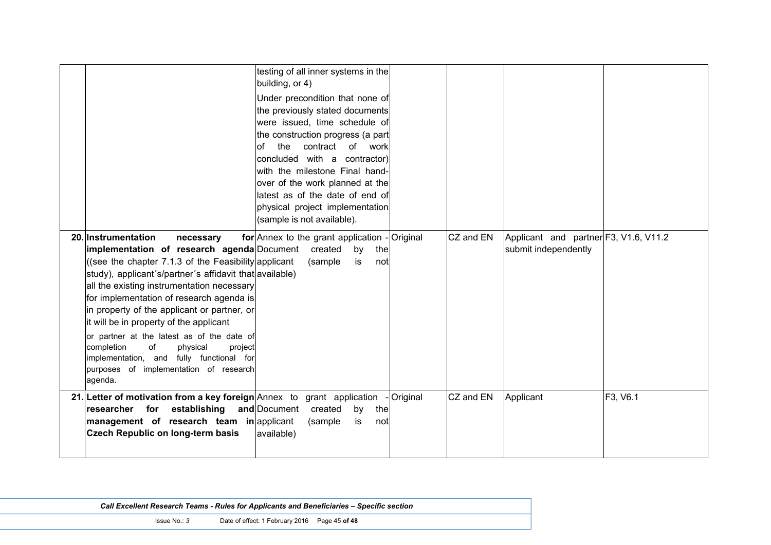|                                                                                                                                                                                                                                                                                                                                                                            | building, or 4)<br>of                                                                                                                                                                                     | testing of all inner systems in the<br>Under precondition that none of<br>the previously stated documents<br>were issued, time schedule of<br>the construction progress (a part<br>the contract<br>of work<br>concluded with a contractor)<br>with the milestone Final hand-<br>over of the work planned at the<br>latest as of the date of end of<br>physical project implementation<br>(sample is not available). |                        |           |                                                               |          |
|----------------------------------------------------------------------------------------------------------------------------------------------------------------------------------------------------------------------------------------------------------------------------------------------------------------------------------------------------------------------------|-----------------------------------------------------------------------------------------------------------------------------------------------------------------------------------------------------------|---------------------------------------------------------------------------------------------------------------------------------------------------------------------------------------------------------------------------------------------------------------------------------------------------------------------------------------------------------------------------------------------------------------------|------------------------|-----------|---------------------------------------------------------------|----------|
| 20. Instrumentation<br>all the existing instrumentation necessary<br>for implementation of research agenda is<br>in property of the applicant or partner, or<br>it will be in property of the applicant<br>or partner at the latest as of the date of<br>of<br>completion<br>implementation, and fully functional for<br>purposes of implementation of research<br>agenda. | necessary<br>implementation of research agenda Document created<br>((see the chapter 7.1.3 of the Feasibility applicant<br>study), applicant's/partner's affidavit that available)<br>physical<br>project | for Annex to the grant application - Original<br>by<br>(sample)<br>is                                                                                                                                                                                                                                                                                                                                               | the<br>not             | CZ and EN | Applicant and partner F3, V1.6, V11.2<br>submit independently |          |
| 21. Letter of motivation from a key foreign Annex to grant application<br><b>Czech Republic on long-term basis</b>                                                                                                                                                                                                                                                         | researcher for establishing and Document<br>management of research team in applicant<br>available)                                                                                                        | created<br>by<br>(sample<br>is                                                                                                                                                                                                                                                                                                                                                                                      | Original<br>the<br>not | CZ and EN | Applicant                                                     | F3, V6.1 |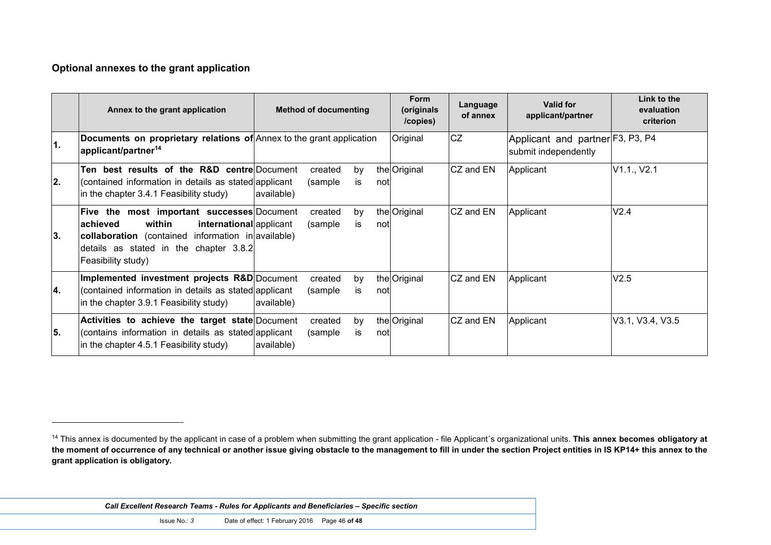#### **Optional annexes to the grant application**

 $\overline{a}$ 

|    | Annex to the grant application                                                                                                                                                                                            | <b>Method of documenting</b>                  | <b>Form</b><br>(originals<br>/copies) | Language<br>of annex | <b>Valid for</b><br>applicant/partner                    | Link to the<br>evaluation<br>criterion |
|----|---------------------------------------------------------------------------------------------------------------------------------------------------------------------------------------------------------------------------|-----------------------------------------------|---------------------------------------|----------------------|----------------------------------------------------------|----------------------------------------|
| 1. | Documents on proprietary relations of Annex to the grant application<br>applicant/partner <sup>14</sup>                                                                                                                   |                                               | Original                              | <b>CZ</b>            | Applicant and partner F3, P3, P4<br>submit independently |                                        |
| 2. | Ten best results of the R&D centre Document<br>(contained information in details as stated applicant<br>in the chapter 3.4.1 Feasibility study)                                                                           | created<br>by<br>(sample)<br>is<br>available) | the Original<br>notl                  | CZ and EN            | Applicant                                                | V1.1., V2.1                            |
| 3. | <b>Five the most important successes</b> Document<br>within<br>lachieved<br>international applicant<br>collaboration (contained information in available)<br>details as stated in the chapter 3.8.2<br>Feasibility study) | created<br>by<br>(sample)<br>is               | the Original<br>notl                  | CZ and EN            | Applicant                                                | V2.4                                   |
| 4. | Implemented investment projects R&D Document<br>(contained information in details as stated applicant<br>in the chapter 3.9.1 Feasibility study)                                                                          | created<br>by<br>(sample<br>is.<br>available) | the Original<br>notl                  | CZ and EN            | Applicant                                                | V2.5                                   |
| 5. | Activities to achieve the target state Document<br>(contains information in details as stated applicant<br>in the chapter 4.5.1 Feasibility study)                                                                        | created<br>by<br>(sample)<br>is<br>available) | the Original<br>notl                  | CZ and EN            | Applicant                                                | V3.1, V3.4, V3.5                       |

<sup>&</sup>lt;sup>14</sup> This annex is documented by the applicant in case of a problem when submitting the grant application - file Applicant's organizational units. This annex becomes obligatory at **the moment of occurrence of any technical or another issue giving obstacle to the management to fill in under the section Project entities in IS KP14+ this annex to the grant application is obligatory.**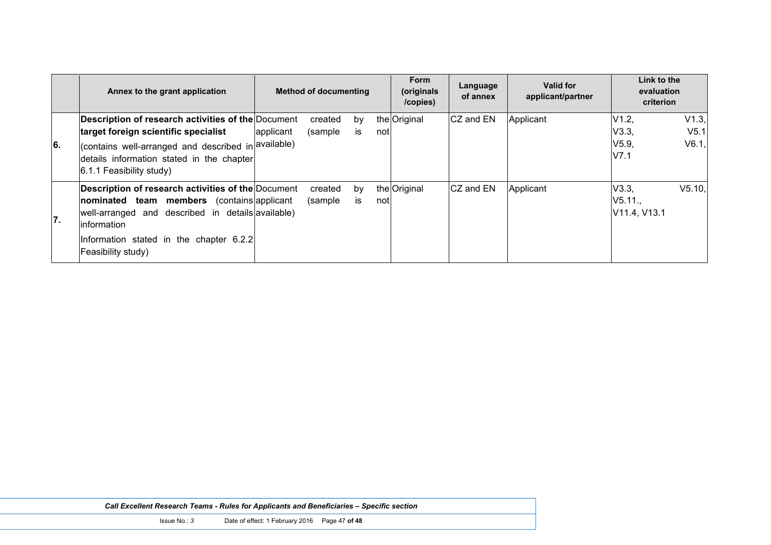|     | Annex to the grant application                                                                                                                                                                                                             |           | <b>Method of documenting</b> |           |      | <b>Form</b><br>(originals<br>/copies) | Language<br>of annex | Valid for<br>applicant/partner | Link to the<br>evaluation<br>criterion |                                    |
|-----|--------------------------------------------------------------------------------------------------------------------------------------------------------------------------------------------------------------------------------------------|-----------|------------------------------|-----------|------|---------------------------------------|----------------------|--------------------------------|----------------------------------------|------------------------------------|
| 6.  | Description of research activities of the Document<br>target foreign scientific specialist<br>(contains well-arranged and described in available)<br>details information stated in the chapter<br>$6.1.1$ Feasibility study)               | applicant | created<br>(sample           | by<br>IS  | not  | the Original                          | CZ and EN            | Applicant                      | V1.2,<br>V3.3,<br>V5.9<br>V7.1         | V1.3,<br>V <sub>5.1</sub><br>V6.1, |
| 17. | Description of research activities of the Document<br>nominated team members<br>(contains applicant)<br>well-arranged and described in details available)<br>linformation<br>Information stated in the chapter 6.2.2<br>Feasibility study) |           | created<br>(sample)          | by<br>İS. | notl | the Original                          | CZ and EN            | Applicant                      | V3.3,<br>V5.11.,<br>V11.4, V13.1       | V5.10.                             |

| <b>Call Excellent Research Teams - Rules for Applicants and Beneficiaries - Specific section</b> |  |
|--------------------------------------------------------------------------------------------------|--|
|--------------------------------------------------------------------------------------------------|--|